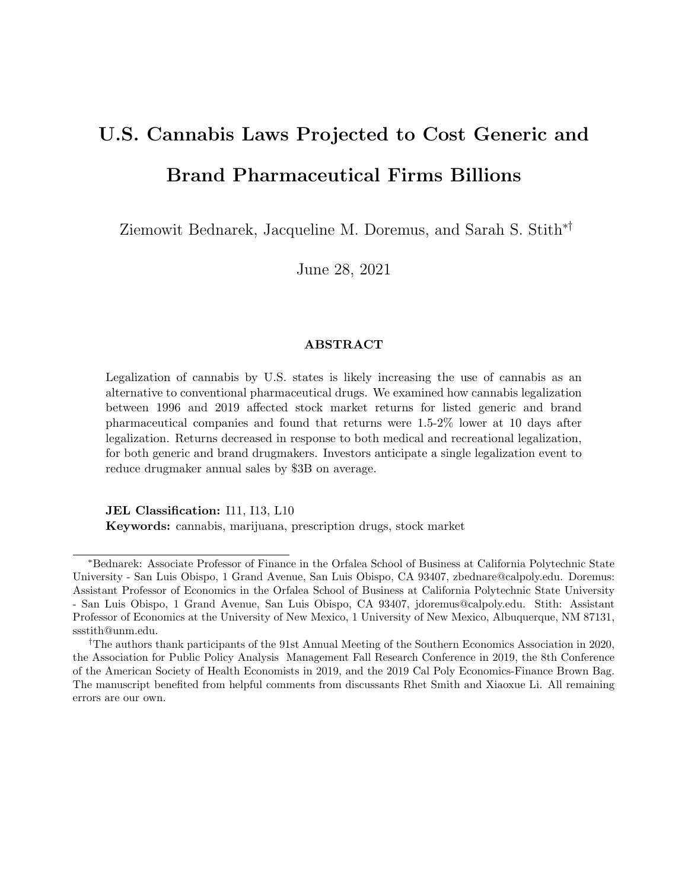# U.S. Cannabis Laws Projected to Cost Generic and Brand Pharmaceutical Firms Billions

Ziemowit Bednarek, Jacqueline M. Doremus, and Sarah S. Stith∗†

June 28, 2021

#### ABSTRACT

Legalization of cannabis by U.S. states is likely increasing the use of cannabis as an alternative to conventional pharmaceutical drugs. We examined how cannabis legalization between 1996 and 2019 affected stock market returns for listed generic and brand pharmaceutical companies and found that returns were 1.5-2% lower at 10 days after legalization. Returns decreased in response to both medical and recreational legalization, for both generic and brand drugmakers. Investors anticipate a single legalization event to reduce drugmaker annual sales by \$3B on average.

JEL Classification: I11, I13, L10 Keywords: cannabis, marijuana, prescription drugs, stock market

<sup>∗</sup>Bednarek: Associate Professor of Finance in the Orfalea School of Business at California Polytechnic State University - San Luis Obispo, 1 Grand Avenue, San Luis Obispo, CA 93407, zbednare@calpoly.edu. Doremus: Assistant Professor of Economics in the Orfalea School of Business at California Polytechnic State University - San Luis Obispo, 1 Grand Avenue, San Luis Obispo, CA 93407, jdoremus@calpoly.edu. Stith: Assistant Professor of Economics at the University of New Mexico, 1 University of New Mexico, Albuquerque, NM 87131, ssstith@unm.edu.

<sup>†</sup>The authors thank participants of the 91st Annual Meeting of the Southern Economics Association in 2020, the Association for Public Policy Analysis Management Fall Research Conference in 2019, the 8th Conference of the American Society of Health Economists in 2019, and the 2019 Cal Poly Economics-Finance Brown Bag. The manuscript benefited from helpful comments from discussants Rhet Smith and Xiaoxue Li. All remaining errors are our own.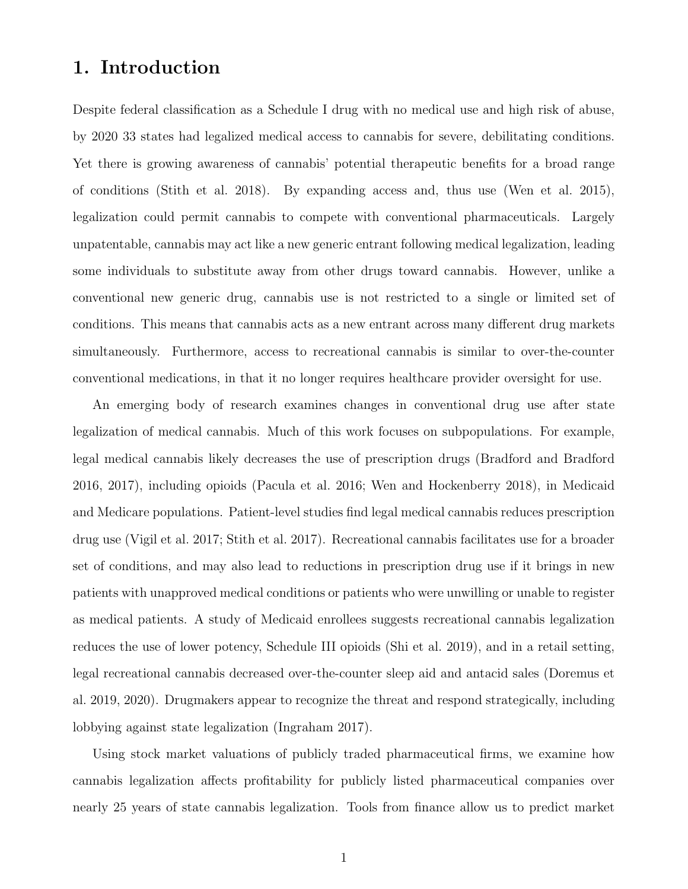### 1. Introduction

Despite federal classification as a Schedule I drug with no medical use and high risk of abuse, by 2020 33 states had legalized medical access to cannabis for severe, debilitating conditions. Yet there is growing awareness of cannabis' potential therapeutic benefits for a broad range of conditions [\(Stith et al. 2018\)](#page-17-0). By expanding access and, thus use [\(Wen et al. 2015\)](#page-17-1), legalization could permit cannabis to compete with conventional pharmaceuticals. Largely unpatentable, cannabis may act like a new generic entrant following medical legalization, leading some individuals to substitute away from other drugs toward cannabis. However, unlike a conventional new generic drug, cannabis use is not restricted to a single or limited set of conditions. This means that cannabis acts as a new entrant across many different drug markets simultaneously. Furthermore, access to recreational cannabis is similar to over-the-counter conventional medications, in that it no longer requires healthcare provider oversight for use.

An emerging body of research examines changes in conventional drug use after state legalization of medical cannabis. Much of this work focuses on subpopulations. For example, legal medical cannabis likely decreases the use of prescription drugs [\(Bradford and Bradford](#page-15-0) [2016,](#page-15-0) [2017\)](#page-15-1), including opioids [\(Pacula et al. 2016;](#page-17-2) [Wen and Hockenberry 2018\)](#page-17-3), in Medicaid and Medicare populations. Patient-level studies find legal medical cannabis reduces prescription drug use [\(Vigil et al. 2017;](#page-17-4) [Stith et al. 2017\)](#page-17-5). Recreational cannabis facilitates use for a broader set of conditions, and may also lead to reductions in prescription drug use if it brings in new patients with unapproved medical conditions or patients who were unwilling or unable to register as medical patients. A study of Medicaid enrollees suggests recreational cannabis legalization reduces the use of lower potency, Schedule III opioids [\(Shi et al. 2019\)](#page-17-6), and in a retail setting, legal recreational cannabis decreased over-the-counter sleep aid and antacid sales [\(Doremus et](#page-15-2) [al. 2019,](#page-15-2) [2020\)](#page-16-0). Drugmakers appear to recognize the threat and respond strategically, including lobbying against state legalization [\(Ingraham 2017\)](#page-16-1).

Using stock market valuations of publicly traded pharmaceutical firms, we examine how cannabis legalization affects profitability for publicly listed pharmaceutical companies over nearly 25 years of state cannabis legalization. Tools from finance allow us to predict market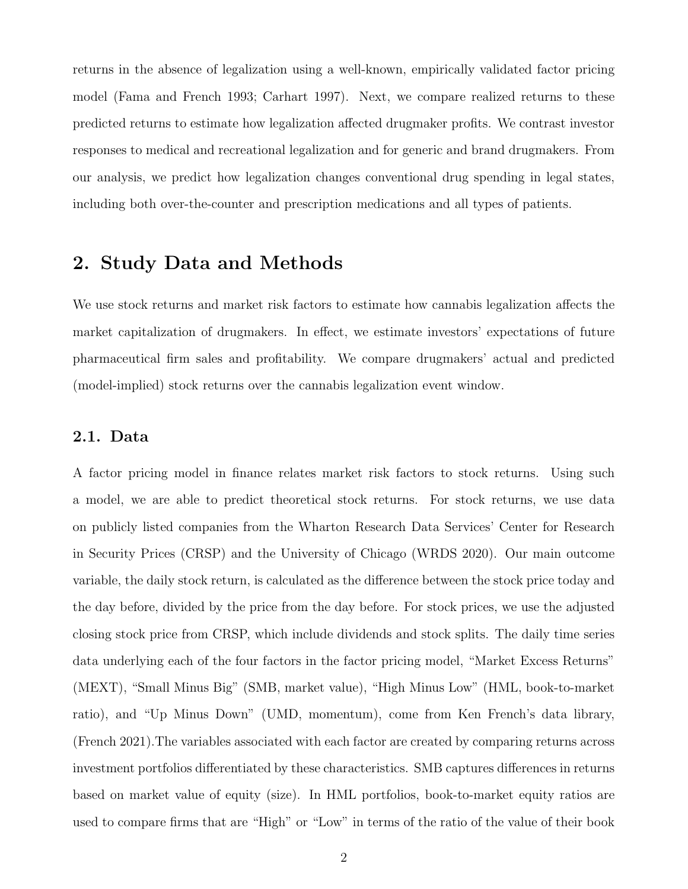returns in the absence of legalization using a well-known, empirically validated factor pricing model [\(Fama and French 1993;](#page-16-2) [Carhart 1997\)](#page-15-3). Next, we compare realized returns to these predicted returns to estimate how legalization affected drugmaker profits. We contrast investor responses to medical and recreational legalization and for generic and brand drugmakers. From our analysis, we predict how legalization changes conventional drug spending in legal states, including both over-the-counter and prescription medications and all types of patients.

### 2. Study Data and Methods

We use stock returns and market risk factors to estimate how cannabis legalization affects the market capitalization of drugmakers. In effect, we estimate investors' expectations of future pharmaceutical firm sales and profitability. We compare drugmakers' actual and predicted (model-implied) stock returns over the cannabis legalization event window.

#### 2.1. Data

A factor pricing model in finance relates market risk factors to stock returns. Using such a model, we are able to predict theoretical stock returns. For stock returns, we use data on publicly listed companies from the Wharton Research Data Services' Center for Research in Security Prices (CRSP) and the University of Chicago [\(WRDS 2020\)](#page-18-0). Our main outcome variable, the daily stock return, is calculated as the difference between the stock price today and the day before, divided by the price from the day before. For stock prices, we use the adjusted closing stock price from CRSP, which include dividends and stock splits. The daily time series data underlying each of the four factors in the factor pricing model, "Market Excess Returns" (MEXT), "Small Minus Big" (SMB, market value), "High Minus Low" (HML, book-to-market ratio), and "Up Minus Down" (UMD, momentum), come from Ken French's data library, [\(French 2021\)](#page-16-3).The variables associated with each factor are created by comparing returns across investment portfolios differentiated by these characteristics. SMB captures differences in returns based on market value of equity (size). In HML portfolios, book-to-market equity ratios are used to compare firms that are "High" or "Low" in terms of the ratio of the value of their book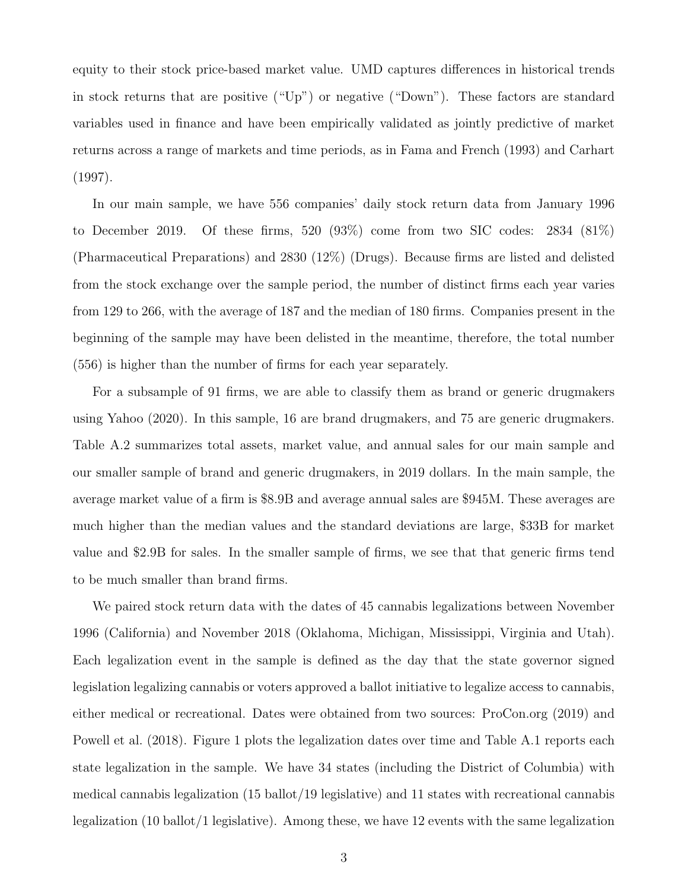equity to their stock price-based market value. UMD captures differences in historical trends in stock returns that are positive ("Up") or negative ("Down"). These factors are standard variables used in finance and have been empirically validated as jointly predictive of market returns across a range of markets and time periods, as in [Fama and French](#page-16-2) [\(1993\)](#page-16-2) and [Carhart](#page-15-3) [\(1997\)](#page-15-3).

In our main sample, we have 556 companies' daily stock return data from January 1996 to December 2019. Of these firms, 520 (93%) come from two SIC codes: 2834 (81%) (Pharmaceutical Preparations) and 2830 (12%) (Drugs). Because firms are listed and delisted from the stock exchange over the sample period, the number of distinct firms each year varies from 129 to 266, with the average of 187 and the median of 180 firms. Companies present in the beginning of the sample may have been delisted in the meantime, therefore, the total number (556) is higher than the number of firms for each year separately.

For a subsample of 91 firms, we are able to classify them as brand or generic drugmakers using [Yahoo](#page-18-1) [\(2020\)](#page-18-1). In this sample, 16 are brand drugmakers, and 75 are generic drugmakers. Table [A.2](#page-25-0) summarizes total assets, market value, and annual sales for our main sample and our smaller sample of brand and generic drugmakers, in 2019 dollars. In the main sample, the average market value of a firm is \$8.9B and average annual sales are \$945M. These averages are much higher than the median values and the standard deviations are large, \$33B for market value and \$2.9B for sales. In the smaller sample of firms, we see that that generic firms tend to be much smaller than brand firms.

We paired stock return data with the dates of 45 cannabis legalizations between November 1996 (California) and November 2018 (Oklahoma, Michigan, Mississippi, Virginia and Utah). Each legalization event in the sample is defined as the day that the state governor signed legislation legalizing cannabis or voters approved a ballot initiative to legalize access to cannabis, either medical or recreational. Dates were obtained from two sources: [ProCon.org](#page-17-7) [\(2019\)](#page-17-7) and [Powell et al.](#page-17-8) [\(2018\)](#page-17-8). Figure [1](#page-20-0) plots the legalization dates over time and Table [A.1](#page-24-0) reports each state legalization in the sample. We have 34 states (including the District of Columbia) with medical cannabis legalization (15 ballot/19 legislative) and 11 states with recreational cannabis legalization (10 ballot/1 legislative). Among these, we have 12 events with the same legalization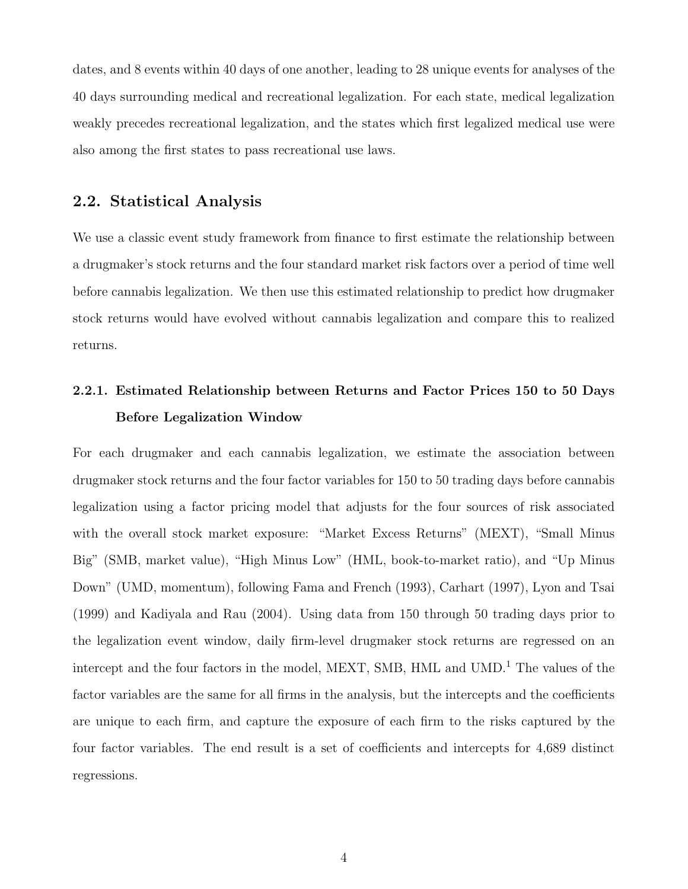dates, and 8 events within 40 days of one another, leading to 28 unique events for analyses of the 40 days surrounding medical and recreational legalization. For each state, medical legalization weakly precedes recreational legalization, and the states which first legalized medical use were also among the first states to pass recreational use laws.

#### 2.2. Statistical Analysis

We use a classic event study framework from finance to first estimate the relationship between a drugmaker's stock returns and the four standard market risk factors over a period of time well before cannabis legalization. We then use this estimated relationship to predict how drugmaker stock returns would have evolved without cannabis legalization and compare this to realized returns.

### 2.2.1. Estimated Relationship between Returns and Factor Prices 150 to 50 Days Before Legalization Window

For each drugmaker and each cannabis legalization, we estimate the association between drugmaker stock returns and the four factor variables for 150 to 50 trading days before cannabis legalization using a factor pricing model that adjusts for the four sources of risk associated with the overall stock market exposure: "Market Excess Returns" (MEXT), "Small Minus Big" (SMB, market value), "High Minus Low" (HML, book-to-market ratio), and "Up Minus Down" (UMD, momentum), following [Fama and French](#page-16-2) [\(1993\)](#page-16-2), [Carhart](#page-15-3) [\(1997\)](#page-15-3), [Lyon and Tsai](#page-16-4) [\(1999\)](#page-16-4) and [Kadiyala and Rau](#page-16-5) [\(2004\)](#page-16-5). Using data from 150 through 50 trading days prior to the legalization event window, daily firm-level drugmaker stock returns are regressed on an intercept and the four factors in the model, MEXT, SMB, HML and UMD.<sup>1</sup> The values of the factor variables are the same for all firms in the analysis, but the intercepts and the coefficients are unique to each firm, and capture the exposure of each firm to the risks captured by the four factor variables. The end result is a set of coefficients and intercepts for 4,689 distinct regressions.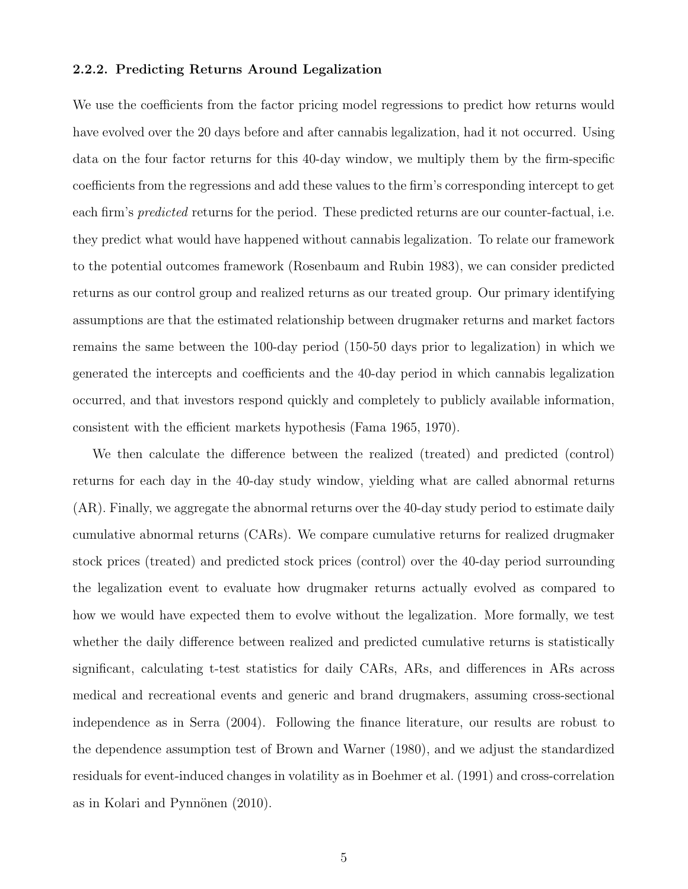#### 2.2.2. Predicting Returns Around Legalization

We use the coefficients from the factor pricing model regressions to predict how returns would have evolved over the 20 days before and after cannabis legalization, had it not occurred. Using data on the four factor returns for this 40-day window, we multiply them by the firm-specific coefficients from the regressions and add these values to the firm's corresponding intercept to get each firm's *predicted* returns for the period. These predicted returns are our counter-factual, i.e. they predict what would have happened without cannabis legalization. To relate our framework to the potential outcomes framework [\(Rosenbaum and Rubin 1983\)](#page-17-9), we can consider predicted returns as our control group and realized returns as our treated group. Our primary identifying assumptions are that the estimated relationship between drugmaker returns and market factors remains the same between the 100-day period (150-50 days prior to legalization) in which we generated the intercepts and coefficients and the 40-day period in which cannabis legalization occurred, and that investors respond quickly and completely to publicly available information, consistent with the efficient markets hypothesis [\(Fama 1965,](#page-16-6) [1970\)](#page-16-7).

We then calculate the difference between the realized (treated) and predicted (control) returns for each day in the 40-day study window, yielding what are called abnormal returns (AR). Finally, we aggregate the abnormal returns over the 40-day study period to estimate daily cumulative abnormal returns (CARs). We compare cumulative returns for realized drugmaker stock prices (treated) and predicted stock prices (control) over the 40-day period surrounding the legalization event to evaluate how drugmaker returns actually evolved as compared to how we would have expected them to evolve without the legalization. More formally, we test whether the daily difference between realized and predicted cumulative returns is statistically significant, calculating t-test statistics for daily CARs, ARs, and differences in ARs across medical and recreational events and generic and brand drugmakers, assuming cross-sectional independence as in [Serra](#page-17-10) [\(2004\)](#page-17-10). Following the finance literature, our results are robust to the dependence assumption test of [Brown and Warner](#page-15-4) [\(1980\)](#page-15-4), and we adjust the standardized residuals for event-induced changes in volatility as in [Boehmer et al.](#page-15-5) [\(1991\)](#page-15-5) and cross-correlation as in Kolari and Pynnönen  $(2010)$ .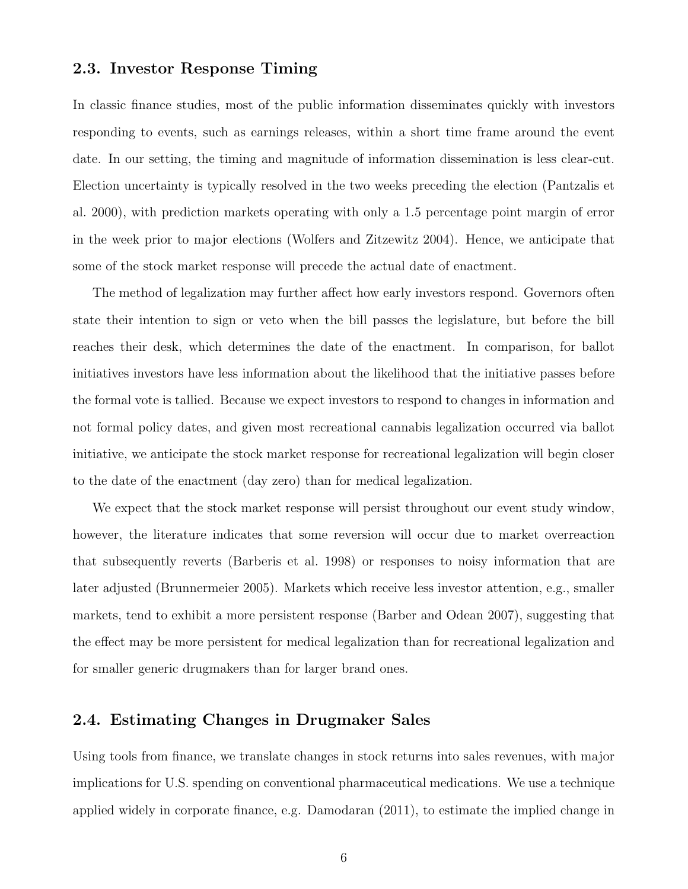#### 2.3. Investor Response Timing

In classic finance studies, most of the public information disseminates quickly with investors responding to events, such as earnings releases, within a short time frame around the event date. In our setting, the timing and magnitude of information dissemination is less clear-cut. Election uncertainty is typically resolved in the two weeks preceding the election [\(Pantzalis et](#page-17-11) [al. 2000\)](#page-17-11), with prediction markets operating with only a 1.5 percentage point margin of error in the week prior to major elections [\(Wolfers and Zitzewitz 2004\)](#page-18-2). Hence, we anticipate that some of the stock market response will precede the actual date of enactment.

The method of legalization may further affect how early investors respond. Governors often state their intention to sign or veto when the bill passes the legislature, but before the bill reaches their desk, which determines the date of the enactment. In comparison, for ballot initiatives investors have less information about the likelihood that the initiative passes before the formal vote is tallied. Because we expect investors to respond to changes in information and not formal policy dates, and given most recreational cannabis legalization occurred via ballot initiative, we anticipate the stock market response for recreational legalization will begin closer to the date of the enactment (day zero) than for medical legalization.

We expect that the stock market response will persist throughout our event study window, however, the literature indicates that some reversion will occur due to market overreaction that subsequently reverts [\(Barberis et al. 1998\)](#page-15-6) or responses to noisy information that are later adjusted [\(Brunnermeier 2005\)](#page-15-7). Markets which receive less investor attention, e.g., smaller markets, tend to exhibit a more persistent response [\(Barber and Odean 2007\)](#page-15-8), suggesting that the effect may be more persistent for medical legalization than for recreational legalization and for smaller generic drugmakers than for larger brand ones.

### 2.4. Estimating Changes in Drugmaker Sales

Using tools from finance, we translate changes in stock returns into sales revenues, with major implications for U.S. spending on conventional pharmaceutical medications. We use a technique applied widely in corporate finance, e.g. [Damodaran](#page-15-9) [\(2011\)](#page-15-9), to estimate the implied change in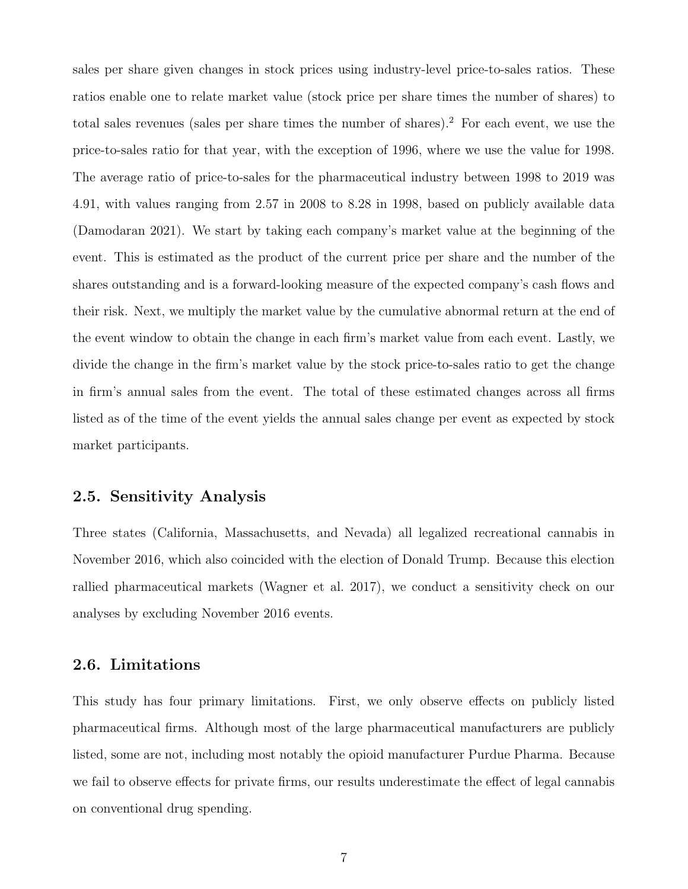sales per share given changes in stock prices using industry-level price-to-sales ratios. These ratios enable one to relate market value (stock price per share times the number of shares) to total sales revenues (sales per share times the number of shares).<sup>2</sup> For each event, we use the price-to-sales ratio for that year, with the exception of 1996, where we use the value for 1998. The average ratio of price-to-sales for the pharmaceutical industry between 1998 to 2019 was 4.91, with values ranging from 2.57 in 2008 to 8.28 in 1998, based on publicly available data [\(Damodaran 2021\)](#page-15-10). We start by taking each company's market value at the beginning of the event. This is estimated as the product of the current price per share and the number of the shares outstanding and is a forward-looking measure of the expected company's cash flows and their risk. Next, we multiply the market value by the cumulative abnormal return at the end of the event window to obtain the change in each firm's market value from each event. Lastly, we divide the change in the firm's market value by the stock price-to-sales ratio to get the change in firm's annual sales from the event. The total of these estimated changes across all firms listed as of the time of the event yields the annual sales change per event as expected by stock market participants.

### 2.5. Sensitivity Analysis

Three states (California, Massachusetts, and Nevada) all legalized recreational cannabis in November 2016, which also coincided with the election of Donald Trump. Because this election rallied pharmaceutical markets [\(Wagner et al. 2017\)](#page-17-12), we conduct a sensitivity check on our analyses by excluding November 2016 events.

### 2.6. Limitations

This study has four primary limitations. First, we only observe effects on publicly listed pharmaceutical firms. Although most of the large pharmaceutical manufacturers are publicly listed, some are not, including most notably the opioid manufacturer Purdue Pharma. Because we fail to observe effects for private firms, our results underestimate the effect of legal cannabis on conventional drug spending.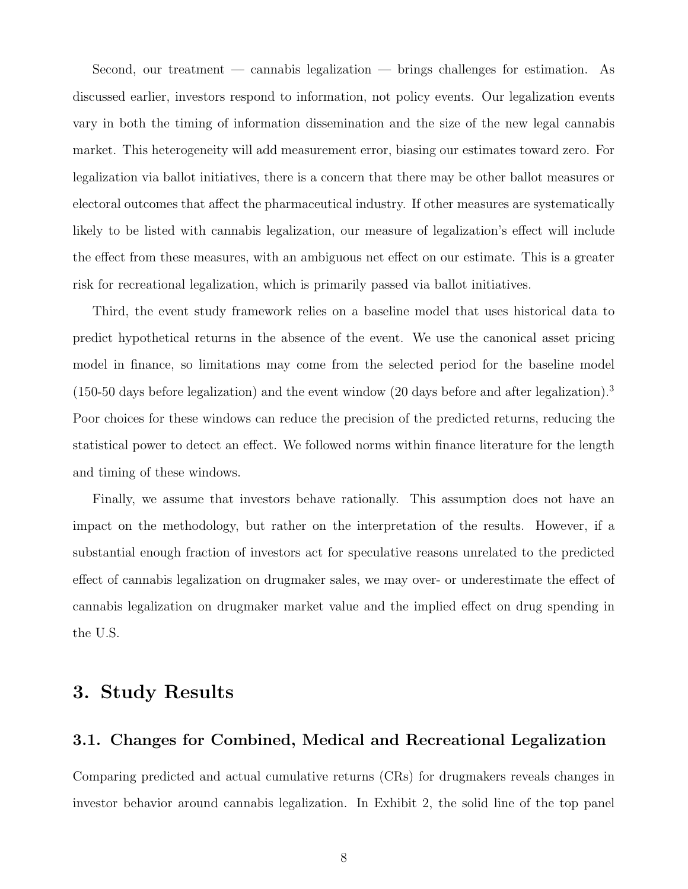Second, our treatment — cannabis legalization — brings challenges for estimation. As discussed earlier, investors respond to information, not policy events. Our legalization events vary in both the timing of information dissemination and the size of the new legal cannabis market. This heterogeneity will add measurement error, biasing our estimates toward zero. For legalization via ballot initiatives, there is a concern that there may be other ballot measures or electoral outcomes that affect the pharmaceutical industry. If other measures are systematically likely to be listed with cannabis legalization, our measure of legalization's effect will include the effect from these measures, with an ambiguous net effect on our estimate. This is a greater risk for recreational legalization, which is primarily passed via ballot initiatives.

Third, the event study framework relies on a baseline model that uses historical data to predict hypothetical returns in the absence of the event. We use the canonical asset pricing model in finance, so limitations may come from the selected period for the baseline model  $(150-50$  days before legalization) and the event window (20 days before and after legalization).<sup>3</sup> Poor choices for these windows can reduce the precision of the predicted returns, reducing the statistical power to detect an effect. We followed norms within finance literature for the length and timing of these windows.

Finally, we assume that investors behave rationally. This assumption does not have an impact on the methodology, but rather on the interpretation of the results. However, if a substantial enough fraction of investors act for speculative reasons unrelated to the predicted effect of cannabis legalization on drugmaker sales, we may over- or underestimate the effect of cannabis legalization on drugmaker market value and the implied effect on drug spending in the U.S.

### 3. Study Results

### 3.1. Changes for Combined, Medical and Recreational Legalization

Comparing predicted and actual cumulative returns (CRs) for drugmakers reveals changes in investor behavior around cannabis legalization. In Exhibit [2,](#page-21-0) the solid line of the top panel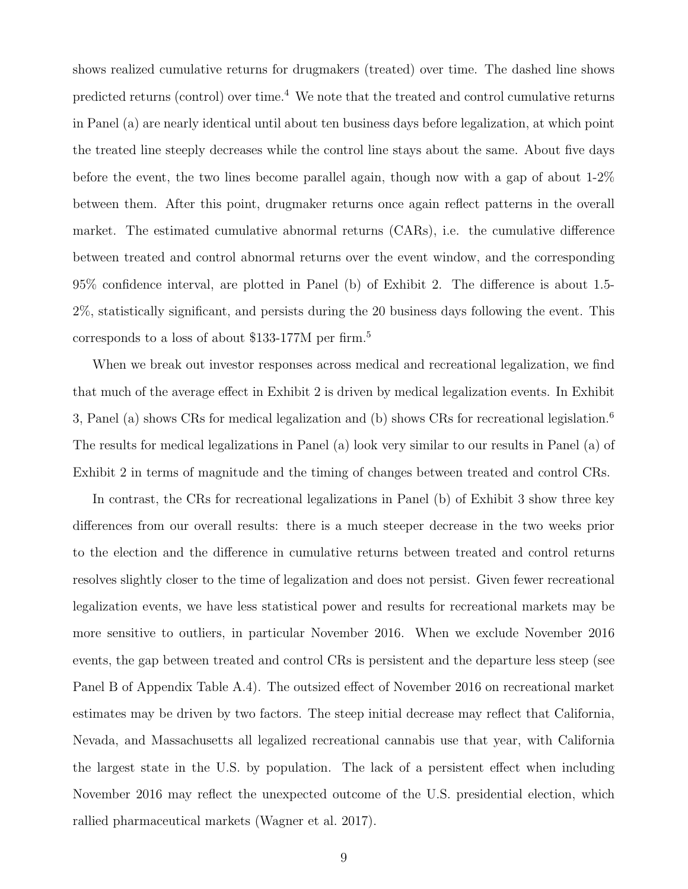shows realized cumulative returns for drugmakers (treated) over time. The dashed line shows predicted returns (control) over time.<sup>4</sup> We note that the treated and control cumulative returns in Panel (a) are nearly identical until about ten business days before legalization, at which point the treated line steeply decreases while the control line stays about the same. About five days before the event, the two lines become parallel again, though now with a gap of about 1-2% between them. After this point, drugmaker returns once again reflect patterns in the overall market. The estimated cumulative abnormal returns (CARs), i.e. the cumulative difference between treated and control abnormal returns over the event window, and the corresponding 95% confidence interval, are plotted in Panel (b) of Exhibit [2.](#page-21-0) The difference is about 1.5- 2%, statistically significant, and persists during the 20 business days following the event. This corresponds to a loss of about \$133-177M per firm.<sup>5</sup>

When we break out investor responses across medical and recreational legalization, we find that much of the average effect in Exhibit [2](#page-21-0) is driven by medical legalization events. In Exhibit [3,](#page-22-0) Panel (a) shows CRs for medical legalization and (b) shows CRs for recreational legislation.<sup>6</sup> The results for medical legalizations in Panel (a) look very similar to our results in Panel (a) of Exhibit [2](#page-21-0) in terms of magnitude and the timing of changes between treated and control CRs.

In contrast, the CRs for recreational legalizations in Panel (b) of Exhibit [3](#page-22-0) show three key differences from our overall results: there is a much steeper decrease in the two weeks prior to the election and the difference in cumulative returns between treated and control returns resolves slightly closer to the time of legalization and does not persist. Given fewer recreational legalization events, we have less statistical power and results for recreational markets may be more sensitive to outliers, in particular November 2016. When we exclude November 2016 events, the gap between treated and control CRs is persistent and the departure less steep (see Panel B of Appendix Table [A.4\)](#page-27-0). The outsized effect of November 2016 on recreational market estimates may be driven by two factors. The steep initial decrease may reflect that California, Nevada, and Massachusetts all legalized recreational cannabis use that year, with California the largest state in the U.S. by population. The lack of a persistent effect when including November 2016 may reflect the unexpected outcome of the U.S. presidential election, which rallied pharmaceutical markets [\(Wagner et al. 2017\)](#page-17-12).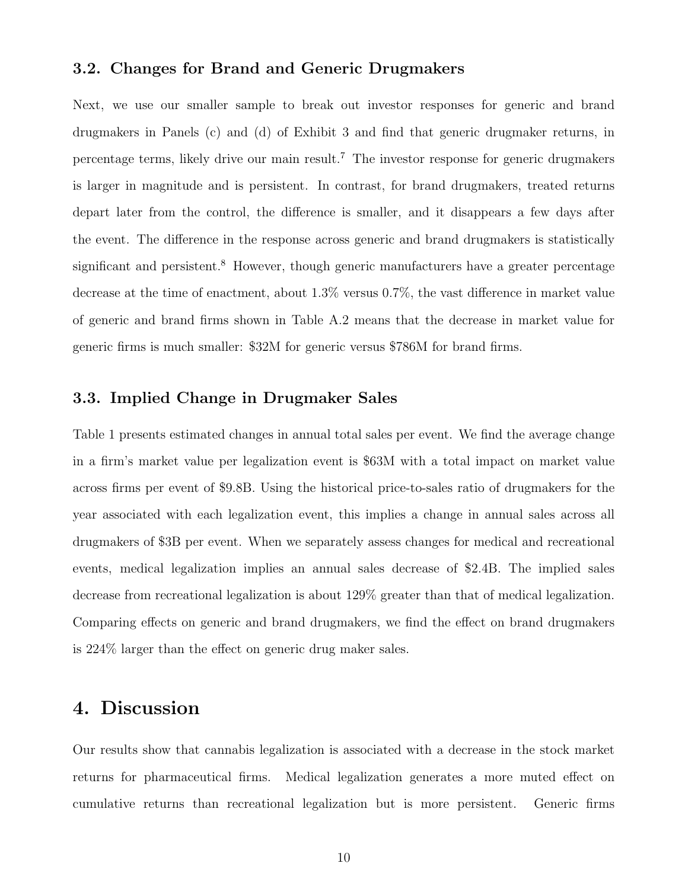#### 3.2. Changes for Brand and Generic Drugmakers

Next, we use our smaller sample to break out investor responses for generic and brand drugmakers in Panels (c) and (d) of Exhibit [3](#page-22-0) and find that generic drugmaker returns, in percentage terms, likely drive our main result.<sup>7</sup> The investor response for generic drugmakers is larger in magnitude and is persistent. In contrast, for brand drugmakers, treated returns depart later from the control, the difference is smaller, and it disappears a few days after the event. The difference in the response across generic and brand drugmakers is statistically significant and persistent.<sup>8</sup> However, though generic manufacturers have a greater percentage decrease at the time of enactment, about 1.3% versus 0.7%, the vast difference in market value of generic and brand firms shown in Table [A.2](#page-25-0) means that the decrease in market value for generic firms is much smaller: \$32M for generic versus \$786M for brand firms.

### 3.3. Implied Change in Drugmaker Sales

Table [1](#page-19-0) presents estimated changes in annual total sales per event. We find the average change in a firm's market value per legalization event is \$63M with a total impact on market value across firms per event of \$9.8B. Using the historical price-to-sales ratio of drugmakers for the year associated with each legalization event, this implies a change in annual sales across all drugmakers of \$3B per event. When we separately assess changes for medical and recreational events, medical legalization implies an annual sales decrease of \$2.4B. The implied sales decrease from recreational legalization is about 129% greater than that of medical legalization. Comparing effects on generic and brand drugmakers, we find the effect on brand drugmakers is 224% larger than the effect on generic drug maker sales.

### 4. Discussion

Our results show that cannabis legalization is associated with a decrease in the stock market returns for pharmaceutical firms. Medical legalization generates a more muted effect on cumulative returns than recreational legalization but is more persistent. Generic firms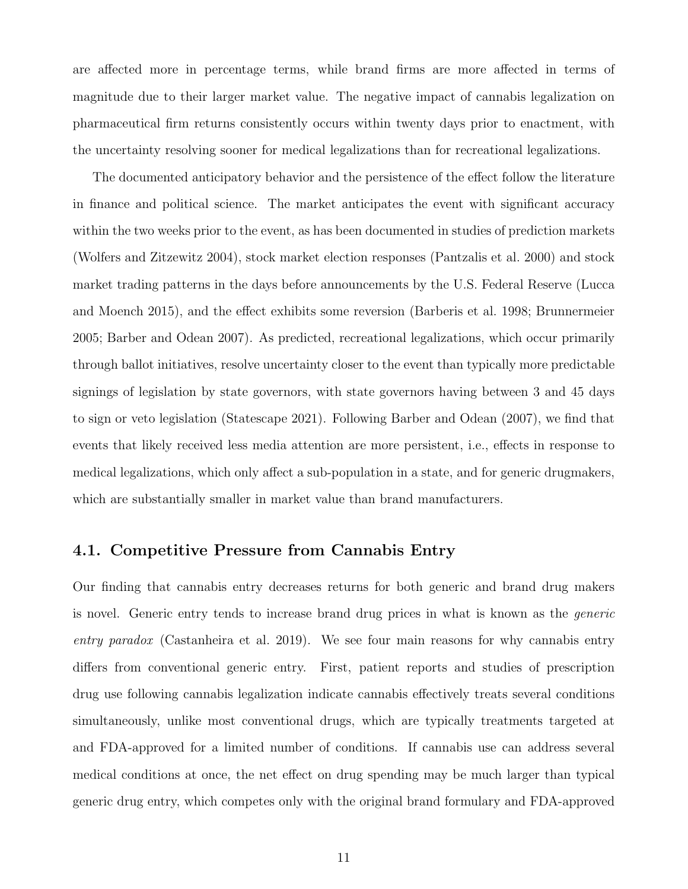are affected more in percentage terms, while brand firms are more affected in terms of magnitude due to their larger market value. The negative impact of cannabis legalization on pharmaceutical firm returns consistently occurs within twenty days prior to enactment, with the uncertainty resolving sooner for medical legalizations than for recreational legalizations.

The documented anticipatory behavior and the persistence of the effect follow the literature in finance and political science. The market anticipates the event with significant accuracy within the two weeks prior to the event, as has been documented in studies of prediction markets [\(Wolfers and Zitzewitz 2004\)](#page-18-2), stock market election responses [\(Pantzalis et al. 2000\)](#page-17-11) and stock market trading patterns in the days before announcements by the U.S. Federal Reserve [\(Lucca](#page-16-9) [and Moench 2015\)](#page-16-9), and the effect exhibits some reversion [\(Barberis et al. 1998;](#page-15-6) [Brunnermeier](#page-15-7) [2005;](#page-15-7) [Barber and Odean 2007\)](#page-15-8). As predicted, recreational legalizations, which occur primarily through ballot initiatives, resolve uncertainty closer to the event than typically more predictable signings of legislation by state governors, with state governors having between 3 and 45 days to sign or veto legislation [\(Statescape 2021\)](#page-17-13). Following [Barber and Odean](#page-15-8) [\(2007\)](#page-15-8), we find that events that likely received less media attention are more persistent, i.e., effects in response to medical legalizations, which only affect a sub-population in a state, and for generic drugmakers, which are substantially smaller in market value than brand manufacturers.

### 4.1. Competitive Pressure from Cannabis Entry

Our finding that cannabis entry decreases returns for both generic and brand drug makers is novel. Generic entry tends to increase brand drug prices in what is known as the generic entry paradox [\(Castanheira et al. 2019\)](#page-15-11). We see four main reasons for why cannabis entry differs from conventional generic entry. First, patient reports and studies of prescription drug use following cannabis legalization indicate cannabis effectively treats several conditions simultaneously, unlike most conventional drugs, which are typically treatments targeted at and FDA-approved for a limited number of conditions. If cannabis use can address several medical conditions at once, the net effect on drug spending may be much larger than typical generic drug entry, which competes only with the original brand formulary and FDA-approved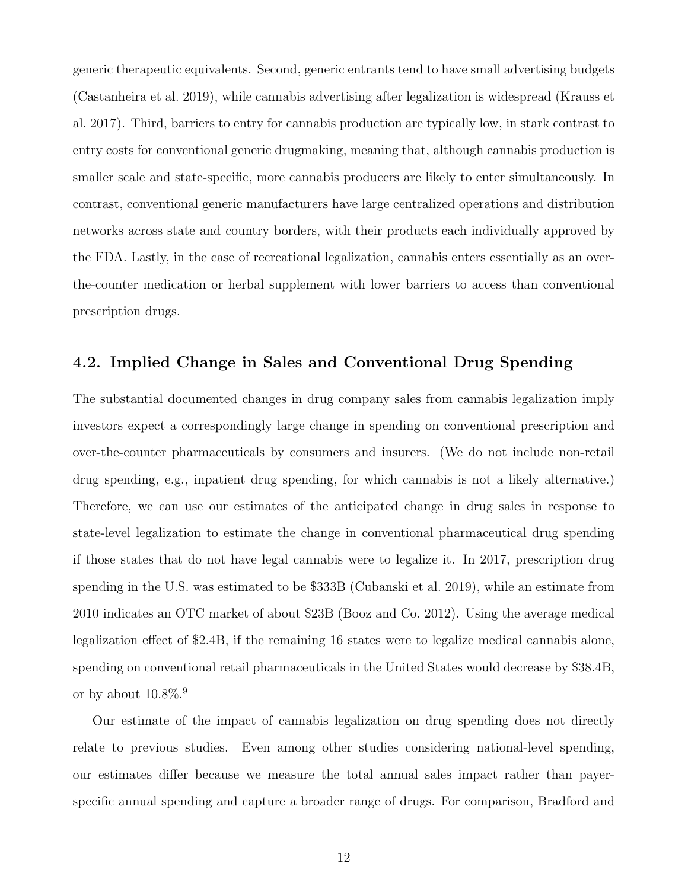generic therapeutic equivalents. Second, generic entrants tend to have small advertising budgets [\(Castanheira et al. 2019\)](#page-15-11), while cannabis advertising after legalization is widespread [\(Krauss et](#page-16-10) [al. 2017\)](#page-16-10). Third, barriers to entry for cannabis production are typically low, in stark contrast to entry costs for conventional generic drugmaking, meaning that, although cannabis production is smaller scale and state-specific, more cannabis producers are likely to enter simultaneously. In contrast, conventional generic manufacturers have large centralized operations and distribution networks across state and country borders, with their products each individually approved by the FDA. Lastly, in the case of recreational legalization, cannabis enters essentially as an overthe-counter medication or herbal supplement with lower barriers to access than conventional prescription drugs.

### 4.2. Implied Change in Sales and Conventional Drug Spending

The substantial documented changes in drug company sales from cannabis legalization imply investors expect a correspondingly large change in spending on conventional prescription and over-the-counter pharmaceuticals by consumers and insurers. (We do not include non-retail drug spending, e.g., inpatient drug spending, for which cannabis is not a likely alternative.) Therefore, we can use our estimates of the anticipated change in drug sales in response to state-level legalization to estimate the change in conventional pharmaceutical drug spending if those states that do not have legal cannabis were to legalize it. In 2017, prescription drug spending in the U.S. was estimated to be \$333B [\(Cubanski et al. 2019\)](#page-15-12), while an estimate from 2010 indicates an OTC market of about \$23B [\(Booz and Co. 2012\)](#page-15-13). Using the average medical legalization effect of \$2.4B, if the remaining 16 states were to legalize medical cannabis alone, spending on conventional retail pharmaceuticals in the United States would decrease by \$38.4B, or by about  $10.8\%$ .<sup>9</sup>

Our estimate of the impact of cannabis legalization on drug spending does not directly relate to previous studies. Even among other studies considering national-level spending, our estimates differ because we measure the total annual sales impact rather than payerspecific annual spending and capture a broader range of drugs. For comparison, [Bradford and](#page-15-1)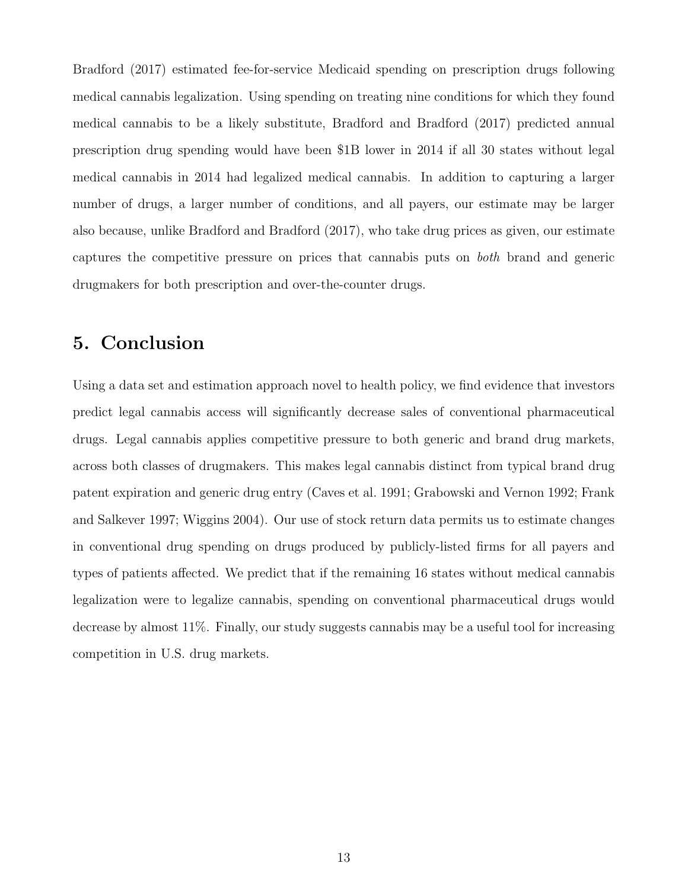[Bradford](#page-15-1) [\(2017\)](#page-15-1) estimated fee-for-service Medicaid spending on prescription drugs following medical cannabis legalization. Using spending on treating nine conditions for which they found medical cannabis to be a likely substitute, [Bradford and Bradford](#page-15-1) [\(2017\)](#page-15-1) predicted annual prescription drug spending would have been \$1B lower in 2014 if all 30 states without legal medical cannabis in 2014 had legalized medical cannabis. In addition to capturing a larger number of drugs, a larger number of conditions, and all payers, our estimate may be larger also because, unlike [Bradford and Bradford](#page-15-1) [\(2017\)](#page-15-1), who take drug prices as given, our estimate captures the competitive pressure on prices that cannabis puts on both brand and generic drugmakers for both prescription and over-the-counter drugs.

### 5. Conclusion

Using a data set and estimation approach novel to health policy, we find evidence that investors predict legal cannabis access will significantly decrease sales of conventional pharmaceutical drugs. Legal cannabis applies competitive pressure to both generic and brand drug markets, across both classes of drugmakers. This makes legal cannabis distinct from typical brand drug patent expiration and generic drug entry [\(Caves et al. 1991;](#page-15-14) [Grabowski and Vernon 1992;](#page-16-11) [Frank](#page-16-12) [and Salkever 1997;](#page-16-12) [Wiggins 2004\)](#page-16-13). Our use of stock return data permits us to estimate changes in conventional drug spending on drugs produced by publicly-listed firms for all payers and types of patients affected. We predict that if the remaining 16 states without medical cannabis legalization were to legalize cannabis, spending on conventional pharmaceutical drugs would decrease by almost 11%. Finally, our study suggests cannabis may be a useful tool for increasing competition in U.S. drug markets.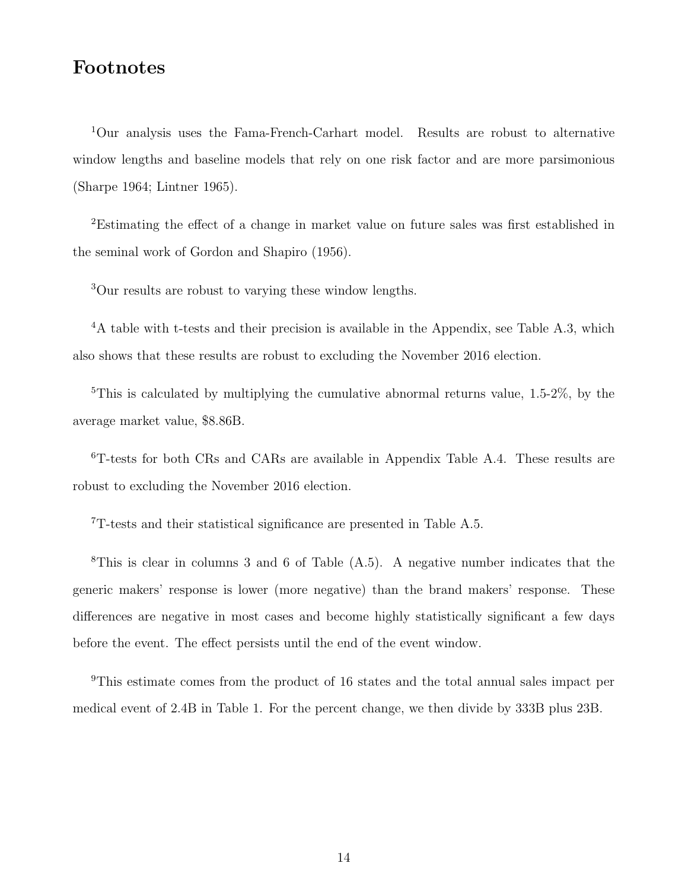### Footnotes

<sup>1</sup>Our analysis uses the Fama-French-Carhart model. Results are robust to alternative window lengths and baseline models that rely on one risk factor and are more parsimonious [\(Sharpe 1964;](#page-17-14) [Lintner 1965\)](#page-16-14).

<sup>2</sup>Estimating the effect of a change in market value on future sales was first established in the seminal work of [Gordon and Shapiro](#page-16-15) [\(1956\)](#page-16-15).

<sup>3</sup>Our results are robust to varying these window lengths.

<sup>4</sup>A table with t-tests and their precision is available in the Appendix, see Table [A.3,](#page-26-0) which also shows that these results are robust to excluding the November 2016 election.

<sup>5</sup>This is calculated by multiplying the cumulative abnormal returns value,  $1.5-2\%$ , by the average market value, \$8.86B.

<sup>6</sup>T-tests for both CRs and CARs are available in Appendix Table [A.4.](#page-27-0) These results are robust to excluding the November 2016 election.

<sup>7</sup>T-tests and their statistical significance are presented in Table [A.5.](#page-28-0)

<sup>8</sup>This is clear in columns 3 and 6 of Table [\(A.5\)](#page-28-0). A negative number indicates that the generic makers' response is lower (more negative) than the brand makers' response. These differences are negative in most cases and become highly statistically significant a few days before the event. The effect persists until the end of the event window.

<sup>9</sup>This estimate comes from the product of 16 states and the total annual sales impact per medical event of 2.4B in Table [1.](#page-19-0) For the percent change, we then divide by 333B plus 23B.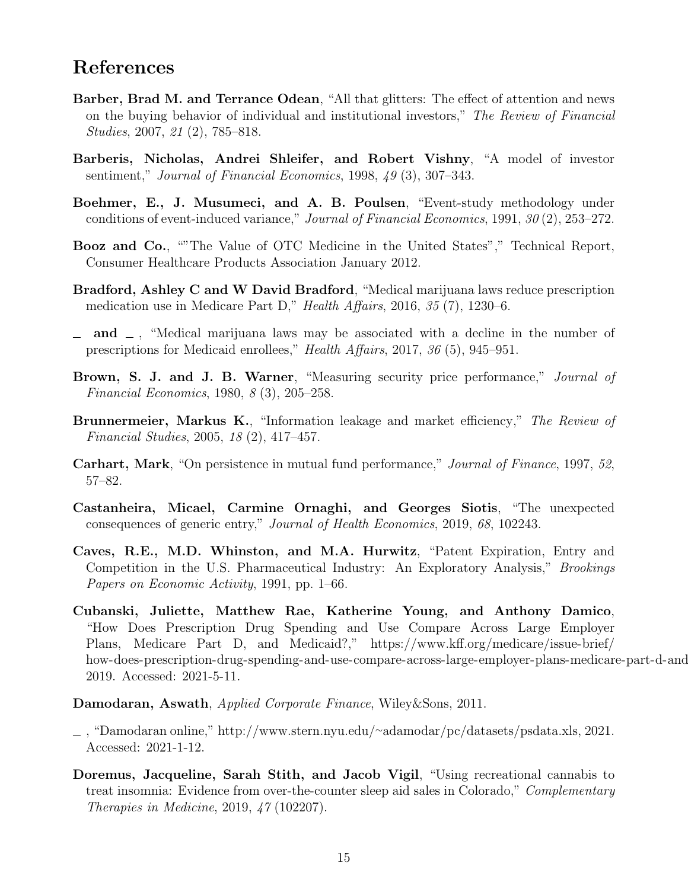### References

- <span id="page-15-8"></span>Barber, Brad M. and Terrance Odean, "All that glitters: The effect of attention and news on the buying behavior of individual and institutional investors," The Review of Financial Studies, 2007, 21 (2), 785–818.
- <span id="page-15-6"></span>Barberis, Nicholas, Andrei Shleifer, and Robert Vishny, "A model of investor sentiment," Journal of Financial Economics, 1998, 49 (3), 307–343.
- <span id="page-15-5"></span>Boehmer, E., J. Musumeci, and A. B. Poulsen, "Event-study methodology under conditions of event-induced variance," Journal of Financial Economics, 1991, 30 (2), 253–272.
- <span id="page-15-13"></span>Booz and Co., ""The Value of OTC Medicine in the United States"," Technical Report, Consumer Healthcare Products Association January 2012.
- <span id="page-15-0"></span>Bradford, Ashley C and W David Bradford, "Medical marijuana laws reduce prescription medication use in Medicare Part D," Health Affairs, 2016, 35 (7), 1230–6.
- <span id="page-15-1"></span> $\Box$  and  $\Box$ , "Medical marijuana laws may be associated with a decline in the number of prescriptions for Medicaid enrollees," Health Affairs, 2017, 36 (5), 945–951.
- <span id="page-15-4"></span>Brown, S. J. and J. B. Warner, "Measuring security price performance," Journal of Financial Economics, 1980, 8 (3), 205–258.
- <span id="page-15-7"></span>**Brunnermeier, Markus K.**, "Information leakage and market efficiency," The Review of Financial Studies, 2005, 18 (2), 417–457.
- <span id="page-15-3"></span>**Carhart, Mark**, "On persistence in mutual fund performance," *Journal of Finance*, 1997, 52, 57–82.
- <span id="page-15-11"></span>Castanheira, Micael, Carmine Ornaghi, and Georges Siotis, "The unexpected consequences of generic entry," Journal of Health Economics, 2019, 68, 102243.
- <span id="page-15-14"></span>Caves, R.E., M.D. Whinston, and M.A. Hurwitz, "Patent Expiration, Entry and Competition in the U.S. Pharmaceutical Industry: An Exploratory Analysis," Brookings Papers on Economic Activity, 1991, pp. 1–66.
- <span id="page-15-12"></span>Cubanski, Juliette, Matthew Rae, Katherine Young, and Anthony Damico, "How Does Prescription Drug Spending and Use Compare Across Large Employer Plans, Medicare Part D, and Medicaid?," [https://www.kff.org/medicare/issue-brief/](https://www.kff.org/medicare/issue-brief/how-does-prescription-drug-spending-and-use-compare-across-large-employer-plans-medicare-part-d-and-medicaid) how-does-prescription-drug-spending-and-use-compare-across-large-employer-plans-medicare-part-d-and 2019. Accessed: 2021-5-11.

<span id="page-15-9"></span>Damodaran, Aswath, Applied Corporate Finance, Wiley&Sons, 2011.

- <span id="page-15-10"></span>, "Damodaran online," http://www.stern.nyu.edu/∼[adamodar/pc/datasets/psdata.xls,](http://www.stern.nyu.edu/~adamodar/pc/datasets/psdata.xls) 2021. Accessed: 2021-1-12.
- <span id="page-15-2"></span>Doremus, Jacqueline, Sarah Stith, and Jacob Vigil, "Using recreational cannabis to treat insomnia: Evidence from over-the-counter sleep aid sales in Colorado," Complementary Therapies in Medicine, 2019, 47 (102207).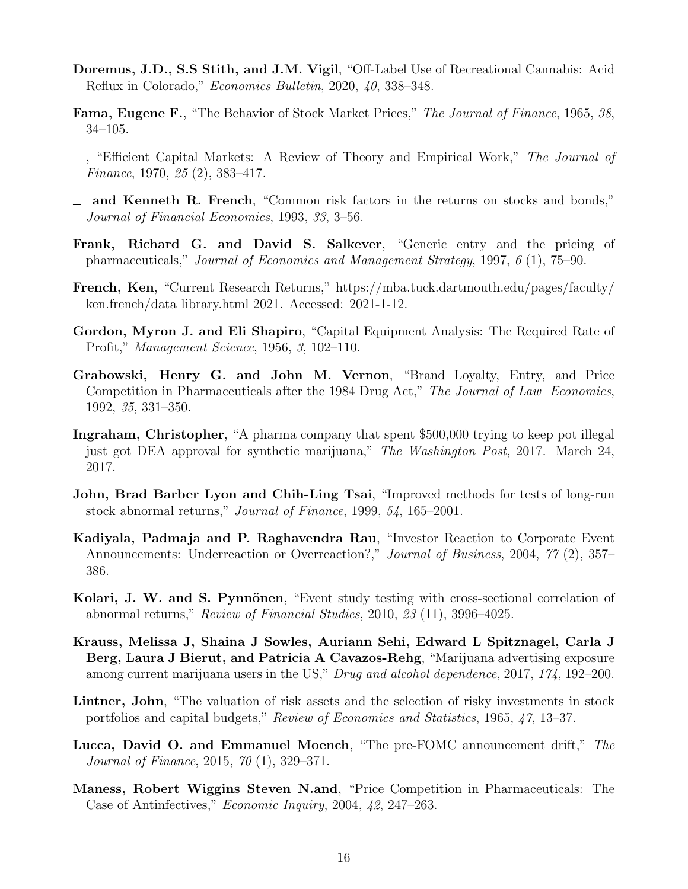- <span id="page-16-0"></span>Doremus, J.D., S.S Stith, and J.M. Vigil, "Off-Label Use of Recreational Cannabis: Acid Reflux in Colorado," Economics Bulletin, 2020, 40, 338–348.
- <span id="page-16-6"></span>Fama, Eugene F., "The Behavior of Stock Market Prices," The Journal of Finance, 1965, 38, 34–105.
- <span id="page-16-7"></span> $\Box$ , "Efficient Capital Markets: A Review of Theory and Empirical Work," The Journal of Finance, 1970, 25 (2), 383–417.
- <span id="page-16-2"></span>and Kenneth R. French, "Common risk factors in the returns on stocks and bonds," Journal of Financial Economics, 1993, 33, 3–56.
- <span id="page-16-12"></span>Frank, Richard G. and David S. Salkever, "Generic entry and the pricing of pharmaceuticals," Journal of Economics and Management Strategy, 1997, 6 (1), 75–90.
- <span id="page-16-3"></span>French, Ken, "Current Research Returns," [https://mba.tuck.dartmouth.edu/pages/faculty/](https://mba.tuck.dartmouth.edu/pages/faculty/ken.french/data_library.html) [ken.french/data](https://mba.tuck.dartmouth.edu/pages/faculty/ken.french/data_library.html) library.html 2021. Accessed: 2021-1-12.
- <span id="page-16-15"></span>Gordon, Myron J. and Eli Shapiro, "Capital Equipment Analysis: The Required Rate of Profit," Management Science, 1956, 3, 102–110.
- <span id="page-16-11"></span>Grabowski, Henry G. and John M. Vernon, "Brand Loyalty, Entry, and Price Competition in Pharmaceuticals after the 1984 Drug Act," The Journal of Law Economics, 1992, 35, 331–350.
- <span id="page-16-1"></span>Ingraham, Christopher, "A pharma company that spent \$500,000 trying to keep pot illegal just got DEA approval for synthetic marijuana," The Washington Post, 2017. March 24, 2017.
- <span id="page-16-4"></span>John, Brad Barber Lyon and Chih-Ling Tsai, "Improved methods for tests of long-run stock abnormal returns," Journal of Finance, 1999, 54, 165–2001.
- <span id="page-16-5"></span>Kadiyala, Padmaja and P. Raghavendra Rau, "Investor Reaction to Corporate Event Announcements: Underreaction or Overreaction?," Journal of Business, 2004, 77 (2), 357– 386.
- <span id="page-16-8"></span>Kolari, J. W. and S. Pynnönen, "Event study testing with cross-sectional correlation of abnormal returns," Review of Financial Studies, 2010, 23 (11), 3996–4025.
- <span id="page-16-10"></span>Krauss, Melissa J, Shaina J Sowles, Auriann Sehi, Edward L Spitznagel, Carla J Berg, Laura J Bierut, and Patricia A Cavazos-Rehg, "Marijuana advertising exposure among current marijuana users in the US," Drug and alcohol dependence, 2017, 174, 192–200.
- <span id="page-16-14"></span>Lintner, John, "The valuation of risk assets and the selection of risky investments in stock portfolios and capital budgets," Review of Economics and Statistics, 1965, 47, 13–37.
- <span id="page-16-9"></span>Lucca, David O. and Emmanuel Moench, "The pre-FOMC announcement drift," The Journal of Finance, 2015, 70 (1), 329–371.
- <span id="page-16-13"></span>Maness, Robert Wiggins Steven N.and, "Price Competition in Pharmaceuticals: The Case of Antinfectives," Economic Inquiry, 2004, 42, 247–263.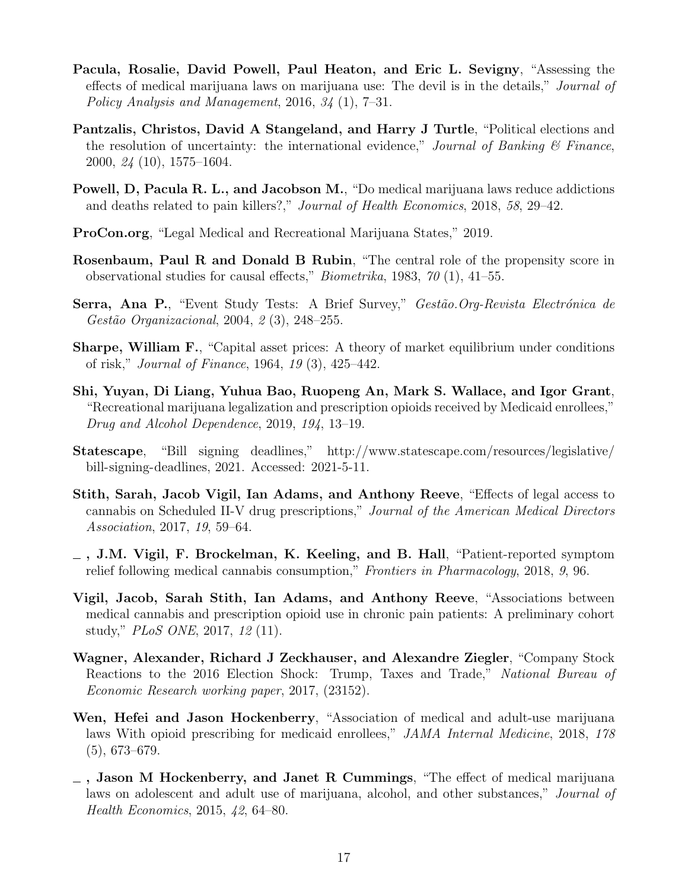- <span id="page-17-2"></span>Pacula, Rosalie, David Powell, Paul Heaton, and Eric L. Sevigny, "Assessing the effects of medical marijuana laws on marijuana use: The devil is in the details," Journal of Policy Analysis and Management, 2016, 34 (1), 7–31.
- <span id="page-17-11"></span>Pantzalis, Christos, David A Stangeland, and Harry J Turtle, "Political elections and the resolution of uncertainty: the international evidence," Journal of Banking  $\mathcal B$  Finance, 2000, 24 (10), 1575–1604.
- <span id="page-17-8"></span>Powell, D, Pacula R. L., and Jacobson M., "Do medical marijuana laws reduce addictions and deaths related to pain killers?," Journal of Health Economics, 2018, 58, 29–42.
- <span id="page-17-7"></span>ProCon.org, "Legal Medical and Recreational Marijuana States," 2019.
- <span id="page-17-9"></span>Rosenbaum, Paul R and Donald B Rubin, "The central role of the propensity score in observational studies for causal effects," *Biometrika*, 1983,  $70(1)$ , 41–55.
- <span id="page-17-10"></span>Serra, Ana P., "Event Study Tests: A Brief Survey," Gestão. Org-Revista Electrónica de Gestão Organizacional, 2004, 2 (3), 248-255.
- <span id="page-17-14"></span>Sharpe, William F., "Capital asset prices: A theory of market equilibrium under conditions of risk," Journal of Finance, 1964, 19 (3), 425–442.
- <span id="page-17-6"></span>Shi, Yuyan, Di Liang, Yuhua Bao, Ruopeng An, Mark S. Wallace, and Igor Grant, "Recreational marijuana legalization and prescription opioids received by Medicaid enrollees," Drug and Alcohol Dependence, 2019, 194, 13–19.
- <span id="page-17-13"></span>Statescape, "Bill signing deadlines," [http://www.statescape.com/resources/legislative/](http://www.statescape.com/resources/legislative/bill-signing-deadlines) [bill-signing-deadlines,](http://www.statescape.com/resources/legislative/bill-signing-deadlines) 2021. Accessed: 2021-5-11.
- <span id="page-17-5"></span>Stith, Sarah, Jacob Vigil, Ian Adams, and Anthony Reeve, "Effects of legal access to cannabis on Scheduled II-V drug prescriptions," Journal of the American Medical Directors Association, 2017, 19, 59–64.
- <span id="page-17-0"></span>, J.M. Vigil, F. Brockelman, K. Keeling, and B. Hall, "Patient-reported symptom relief following medical cannabis consumption," Frontiers in Pharmacology, 2018, 9, 96.
- <span id="page-17-4"></span>Vigil, Jacob, Sarah Stith, Ian Adams, and Anthony Reeve, "Associations between medical cannabis and prescription opioid use in chronic pain patients: A preliminary cohort study," PLoS ONE, 2017, 12 (11).
- <span id="page-17-12"></span>Wagner, Alexander, Richard J Zeckhauser, and Alexandre Ziegler, "Company Stock Reactions to the 2016 Election Shock: Trump, Taxes and Trade," National Bureau of Economic Research working paper, 2017, (23152).
- <span id="page-17-3"></span>Wen, Hefei and Jason Hockenberry, "Association of medical and adult-use marijuana laws With opioid prescribing for medicaid enrollees," JAMA Internal Medicine, 2018, 178 (5), 673–679.
- <span id="page-17-1"></span> $\overline{\phantom{a}}$ , Jason M Hockenberry, and Janet R Cummings, "The effect of medical marijuana laws on adolescent and adult use of marijuana, alcohol, and other substances," Journal of Health Economics, 2015, 42, 64–80.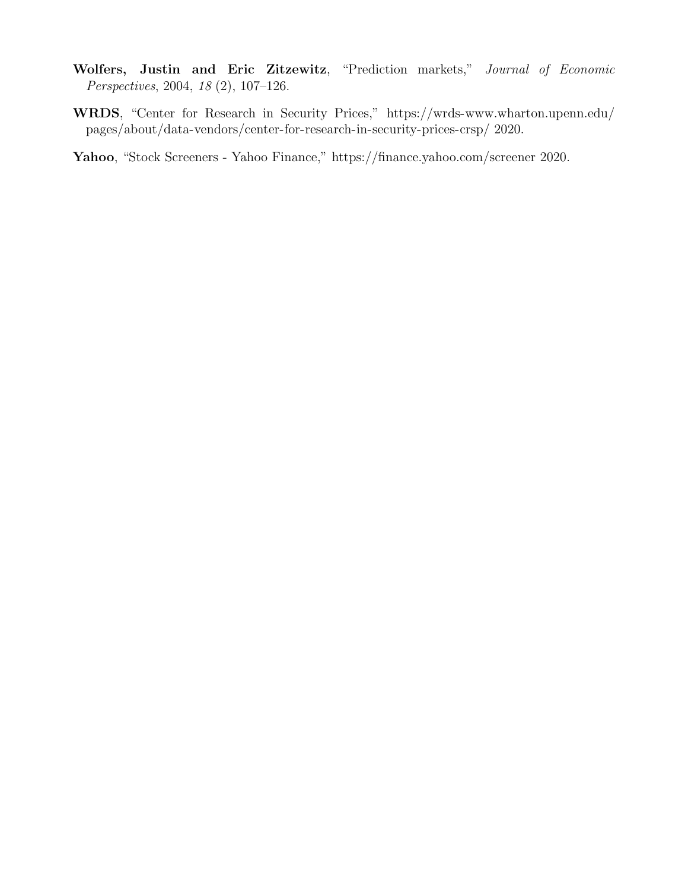- <span id="page-18-2"></span>Wolfers, Justin and Eric Zitzewitz, "Prediction markets," Journal of Economic Perspectives, 2004, 18 (2), 107–126.
- <span id="page-18-0"></span>WRDS, "Center for Research in Security Prices," [https://wrds-www.wharton.upenn.edu/](https://wrds-www.wharton.upenn.edu/pages/about/data-vendors/center-for-research-in-security-prices-crsp/) [pages/about/data-vendors/center-for-research-in-security-prices-crsp/](https://wrds-www.wharton.upenn.edu/pages/about/data-vendors/center-for-research-in-security-prices-crsp/) 2020.
- <span id="page-18-1"></span>Yahoo, "Stock Screeners - Yahoo Finance,"<https://finance.yahoo.com/screener> 2020.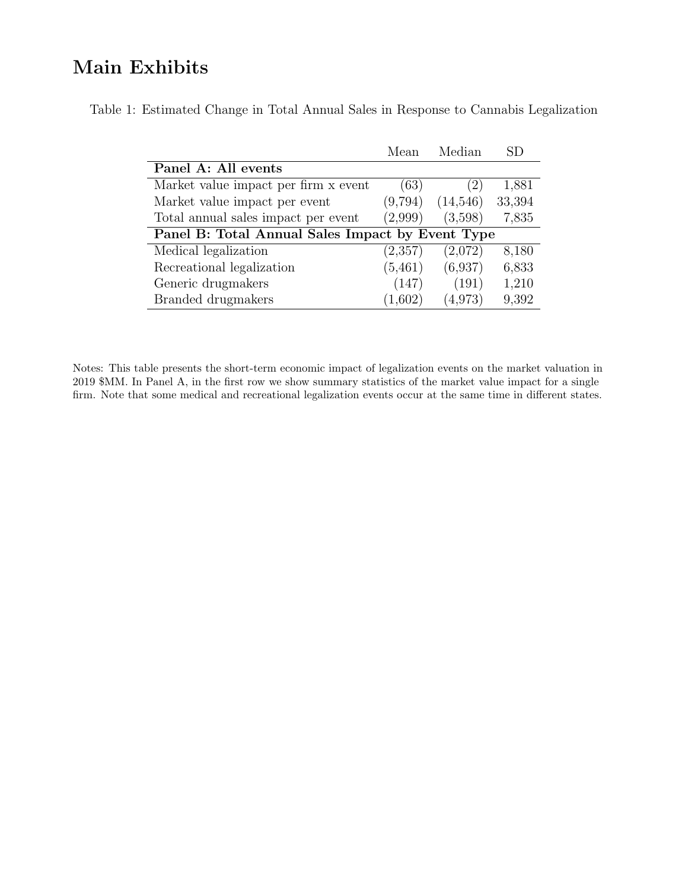## Main Exhibits

<span id="page-19-0"></span>

|  |  | Table 1: Estimated Change in Total Annual Sales in Response to Cannabis Legalization |  |
|--|--|--------------------------------------------------------------------------------------|--|
|  |  |                                                                                      |  |

| Mean                                             | Median   | SD     |  |  |  |  |  |
|--------------------------------------------------|----------|--------|--|--|--|--|--|
|                                                  |          |        |  |  |  |  |  |
| (63)                                             | 2)       | 1,881  |  |  |  |  |  |
| (9,794)                                          | (14,546) | 33,394 |  |  |  |  |  |
| (2,999)                                          | (3,598)  | 7,835  |  |  |  |  |  |
| Panel B: Total Annual Sales Impact by Event Type |          |        |  |  |  |  |  |
| (2,357)                                          | (2,072)  | 8,180  |  |  |  |  |  |
| (5, 461)                                         | (6,937)  | 6,833  |  |  |  |  |  |
| (147)                                            | (191)    | 1,210  |  |  |  |  |  |
| (1,602)                                          | (4.973)  | 9,392  |  |  |  |  |  |
|                                                  |          |        |  |  |  |  |  |

Notes: This table presents the short-term economic impact of legalization events on the market valuation in 2019 \$MM. In Panel A, in the first row we show summary statistics of the market value impact for a single firm. Note that some medical and recreational legalization events occur at the same time in different states.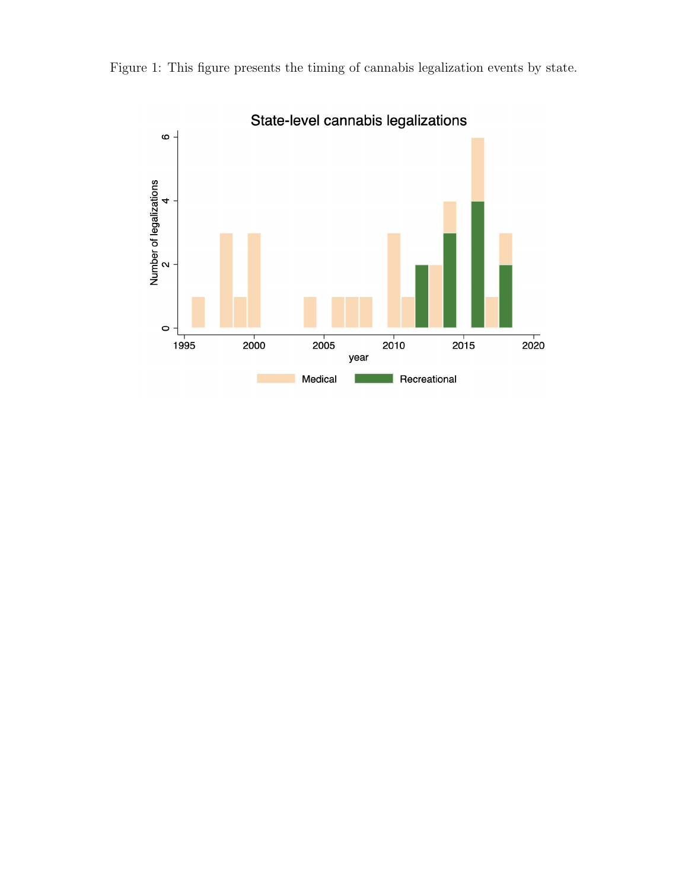

<span id="page-20-0"></span>Figure 1: This figure presents the timing of cannabis legalization events by state.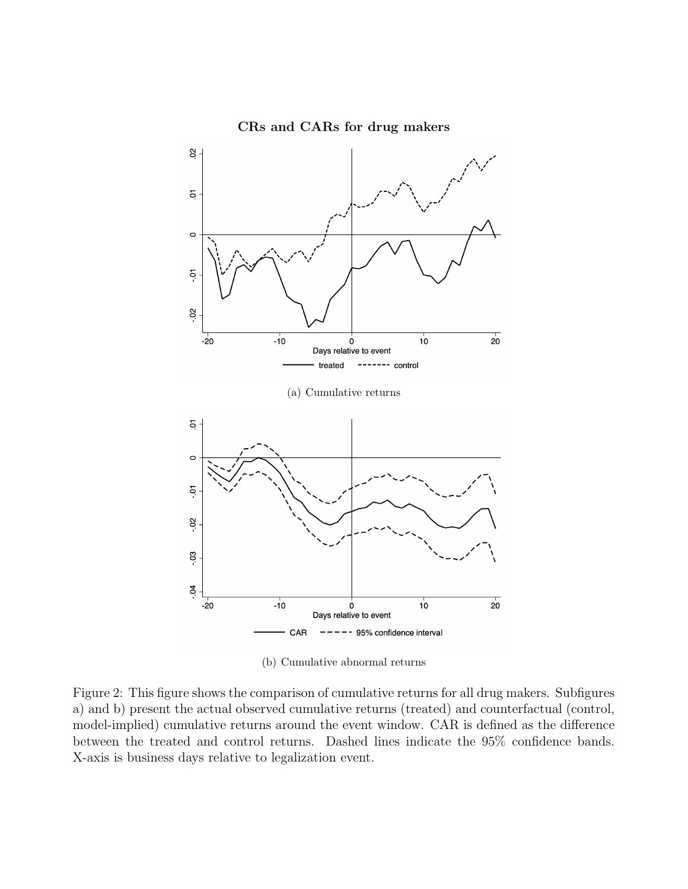<span id="page-21-0"></span>

CRs and CARs for drug makers

(b) Cumulative abnormal returns

Figure 2: This figure shows the comparison of cumulative returns for all drug makers. Subfigures a) and b) present the actual observed cumulative returns (treated) and counterfactual (control, model-implied) cumulative returns around the event window. CAR is defined as the difference between the treated and control returns. Dashed lines indicate the 95% confidence bands. X-axis is business days relative to legalization event.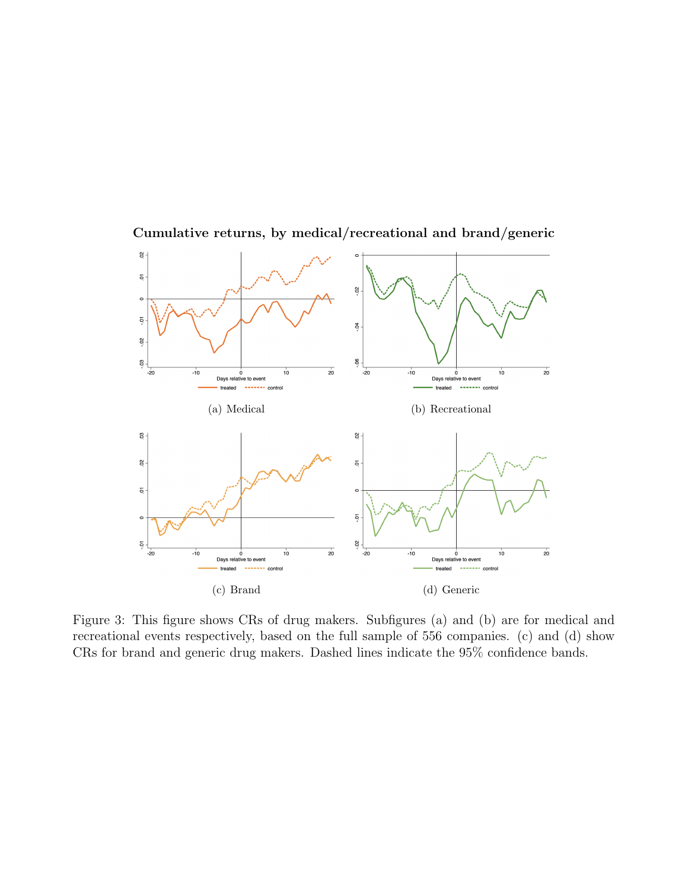<span id="page-22-3"></span><span id="page-22-2"></span><span id="page-22-1"></span>

<span id="page-22-0"></span>Cumulative returns, by medical/recreational and brand/generic

<span id="page-22-4"></span>Figure 3: This figure shows CRs of drug makers. Subfigures [\(a\)](#page-22-1) and [\(b\)](#page-22-2) are for medical and recreational events respectively, based on the full sample of 556 companies. [\(c\)](#page-22-3) and [\(d\)](#page-22-4) show CRs for brand and generic drug makers. Dashed lines indicate the 95% confidence bands.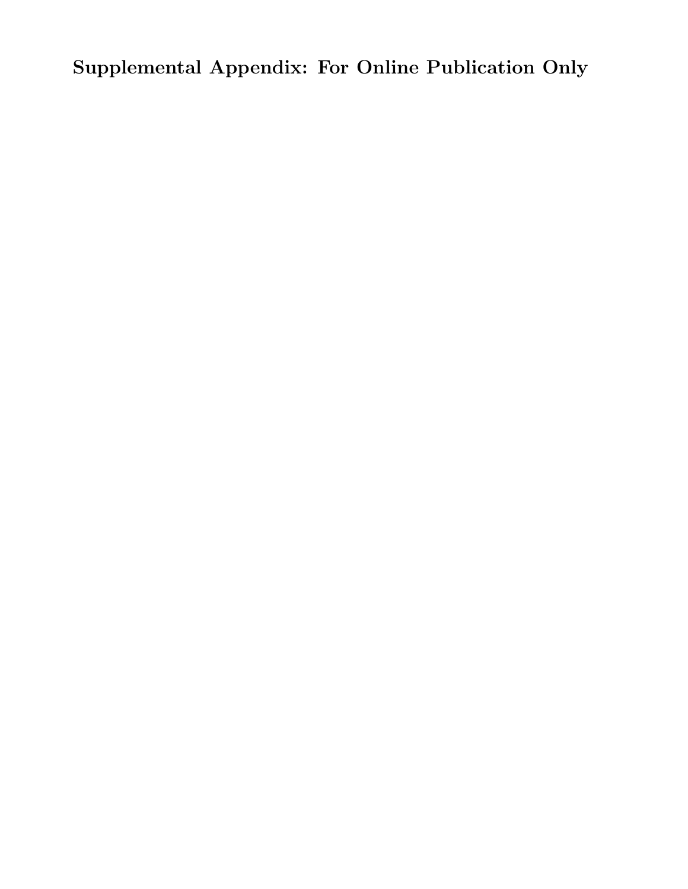Supplemental Appendix: For Online Publication Only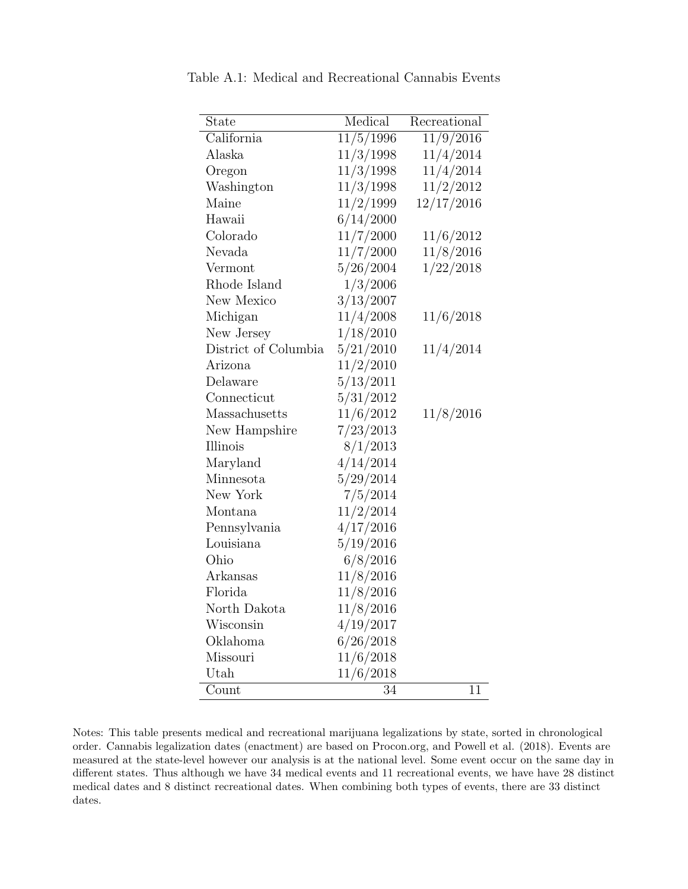| State                | Medical   | Recreational |
|----------------------|-----------|--------------|
| California           | 11/5/1996 | 11/9/2016    |
| Alaska               | 11/3/1998 | 11/4/2014    |
| Oregon               | 11/3/1998 | 11/4/2014    |
| Washington           | 11/3/1998 | 11/2/2012    |
| Maine                | 11/2/1999 | 12/17/2016   |
| Hawaii               | 6/14/2000 |              |
| Colorado             | 11/7/2000 | 11/6/2012    |
| Nevada               | 11/7/2000 | 11/8/2016    |
| Vermont              | 5/26/2004 | 1/22/2018    |
| Rhode Island         | 1/3/2006  |              |
| New Mexico           | 3/13/2007 |              |
| Michigan             | 11/4/2008 | 11/6/2018    |
| New Jersey           | 1/18/2010 |              |
| District of Columbia | 5/21/2010 | 11/4/2014    |
| Arizona              | 11/2/2010 |              |
| Delaware             | 5/13/2011 |              |
| Connecticut          | 5/31/2012 |              |
| Massachusetts        | 11/6/2012 | 11/8/2016    |
| New Hampshire        | 7/23/2013 |              |
| Illinois             | 8/1/2013  |              |
| Maryland             | 4/14/2014 |              |
| Minnesota            | 5/29/2014 |              |
| New York             | 7/5/2014  |              |
| Montana              | 11/2/2014 |              |
| Pennsylvania         | 4/17/2016 |              |
| Louisiana            | 5/19/2016 |              |
| Ohio                 | 6/8/2016  |              |
| Arkansas             | 11/8/2016 |              |
| Florida              | 11/8/2016 |              |
| North Dakota         | 11/8/2016 |              |
| Wisconsin            | 4/19/2017 |              |
| Oklahoma             | 6/26/2018 |              |
| Missouri             | 11/6/2018 |              |
| Utah                 | 11/6/2018 |              |
| Count                | 34        | 11           |

<span id="page-24-0"></span>Table A.1: Medical and Recreational Cannabis Events

Notes: This table presents medical and recreational marijuana legalizations by state, sorted in chronological order. Cannabis legalization dates (enactment) are based on Procon.org, and Powell et al. (2018). Events are measured at the state-level however our analysis is at the national level. Some event occur on the same day in different states. Thus although we have 34 medical events and 11 recreational events, we have have 28 distinct medical dates and 8 distinct recreational dates. When combining both types of events, there are 33 distinct dates.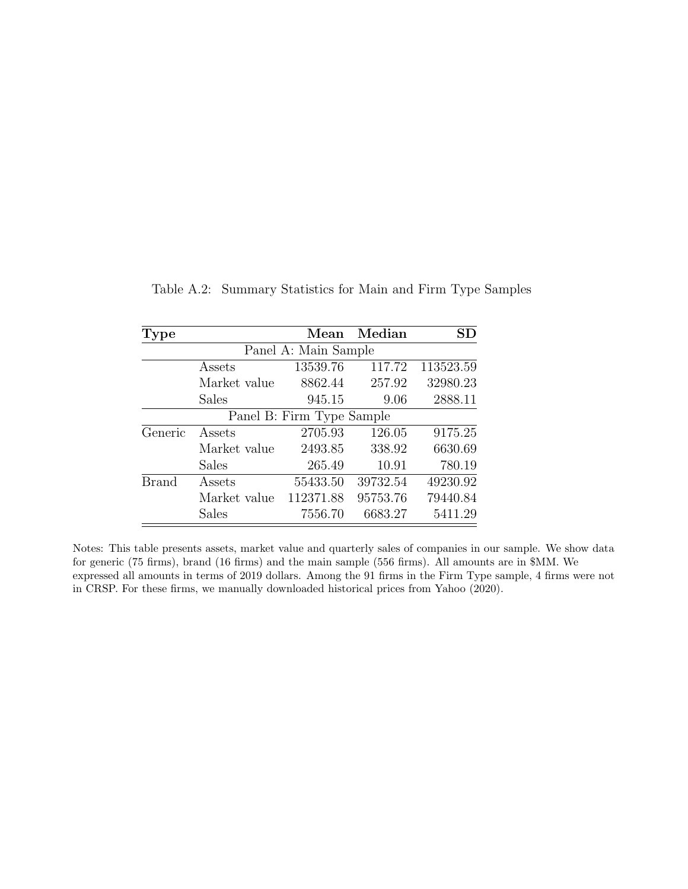| Type         |                         | Mean                      | Median   | SD        |
|--------------|-------------------------|---------------------------|----------|-----------|
|              |                         | Panel A: Main Sample      |          |           |
|              | Assets                  | 13539.76                  | 117.72   | 113523.59 |
|              | Market value            | 8862.44                   | 257.92   | 32980.23  |
|              | Sales                   | 945.15                    | 9.06     | 2888.11   |
|              |                         | Panel B: Firm Type Sample |          |           |
| Generic      | $\operatorname{Assets}$ | 2705.93                   | 126.05   | 9175.25   |
|              | Market value            | 2493.85                   | 338.92   | 6630.69   |
|              | Sales                   | 265.49                    | 10.91    | 780.19    |
| <b>Brand</b> | Assets                  | 55433.50                  | 39732.54 | 49230.92  |
|              | Market value            | 112371.88                 | 95753.76 | 79440.84  |
|              | Sales                   | 7556.70                   | 6683.27  | 5411.29   |

<span id="page-25-0"></span>Table A.2: Summary Statistics for Main and Firm Type Samples

Notes: This table presents assets, market value and quarterly sales of companies in our sample. We show data for generic (75 firms), brand (16 firms) and the main sample (556 firms). All amounts are in \$MM. We expressed all amounts in terms of 2019 dollars. Among the 91 firms in the Firm Type sample, 4 firms were not in CRSP. For these firms, we manually downloaded historical prices from [Yahoo](#page-18-1) [\(2020\)](#page-18-1).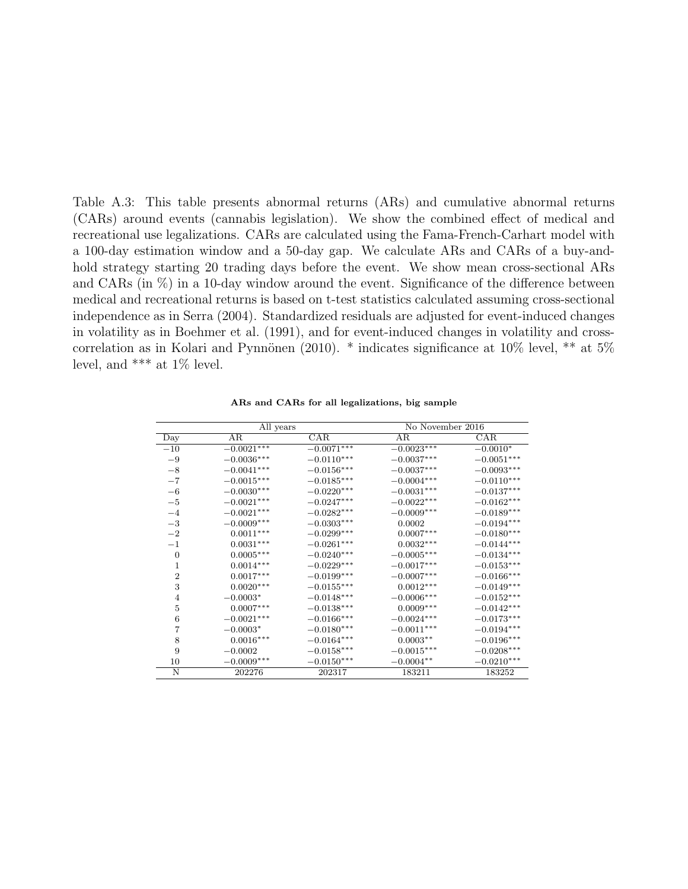<span id="page-26-0"></span>Table A.3: This table presents abnormal returns (ARs) and cumulative abnormal returns (CARs) around events (cannabis legislation). We show the combined effect of medical and recreational use legalizations. CARs are calculated using the Fama-French-Carhart model with a 100-day estimation window and a 50-day gap. We calculate ARs and CARs of a buy-andhold strategy starting 20 trading days before the event. We show mean cross-sectional ARs and CARs (in  $\%$ ) in a 10-day window around the event. Significance of the difference between medical and recreational returns is based on t-test statistics calculated assuming cross-sectional independence as in [Serra](#page-17-10) [\(2004\)](#page-17-10). Standardized residuals are adjusted for event-induced changes in volatility as in [Boehmer et al.](#page-15-5) [\(1991\)](#page-15-5), and for event-induced changes in volatility and cross-correlation as in Kolari and Pynnönen [\(2010\)](#page-16-8). \* indicates significance at  $10\%$  level, \*\* at  $5\%$ level, and \*\*\* at 1% level.

|                | All years         |                          | No November 2016        |                          |
|----------------|-------------------|--------------------------|-------------------------|--------------------------|
| Day            | AR                | CAR                      | AR                      | CAR                      |
| $-10$          | $-0.0021***$      | $-0.0071***$             | $-0.002\overline{3***}$ | $-0.0010*$               |
| $-9$           | $-0.0036***$      | $-0.0110***$             | $-0.0037***$            | $-0.0051***$             |
| $-8$           | $-0.0041***$      | $-0.0156***$             | $-0.0037***$            | $-0.0093***$             |
| $-7$           | $-0.0015***$      | $-0.0185***$             | $-0.0004***$            | $-0.0110***$             |
| $-6$           | $-0.0030^{***}\,$ | $-0.0220***$             | $-0.0031***$            | $-0.0137***$             |
| $-5$           | $-0.0021***$      | $-0.0247***$             | $-0.0022***$            | $-0.0162***$             |
| $-4$           | $-0.0021***$      | $-0.0282***$             | $-0.0009***$            | $-0.0189***$             |
| $-3$           | $-0.0009***$      | $-0.0303***$             | 0.0002                  | $-0.0194***$             |
| $^{-2}$        | $0.0011***$       | $-0.0299^{\ast\ast\ast}$ | $0.0007***$             | $-0.0180^{***}\,$        |
| $^{-1}$        | $0.0031^{***}\,$  | $-0.0261***$             | $0.0032^{***}\,$        | $-0.0144***$             |
| $\overline{0}$ | $0.0005^{***}\,$  | $-0.0240^{***}\,$        | $-0.0005***$            | $-0.0134***$             |
| 1              | $0.0014***$       | $-0.0229***$             | $-0.0017***$            | $-0.0153***$             |
| $\overline{2}$ | $0.0017***$       | $-0.0199***$             | $-0.0007***$            | $-0.0166^{***}\,$        |
| 3              | $0.0020***$       | $-0.0155^{***}\,$        | $0.0012***$             | $-0.0149***$             |
| $\overline{4}$ | $-0.0003*$        | $-0.0148***$             | $-0.0006***$            | $-0.0152***$             |
| $\overline{5}$ | $0.0007***$       | $-0.0138***$             | $0.0009***$             | $-0.0142^{\ast\ast\ast}$ |
| 6              | $-0.0021***$      | $-0.0166***$             | $-0.0024***$            | $-0.0173***$             |
| 7              | $-0.0003*$        | $-0.0180***$             | $-0.0011***$            | $-0.0194***$             |
| 8              | $0.0016***$       | $-0.0164***$             | $0.0003**$              | $-0.0196^{\ast\ast\ast}$ |
| 9              | $-0.0002$         | $-0.0158***$             | $-0.0015***$            | $-0.0208***$             |
| 10             | $-0.0009***$      | $-0.0150***$             | $-0.0004**$             | $-0.0210***$             |
| Ν              | 202276            | 202317                   | 183211                  | 183252                   |

ARs and CARs for all legalizations, big sample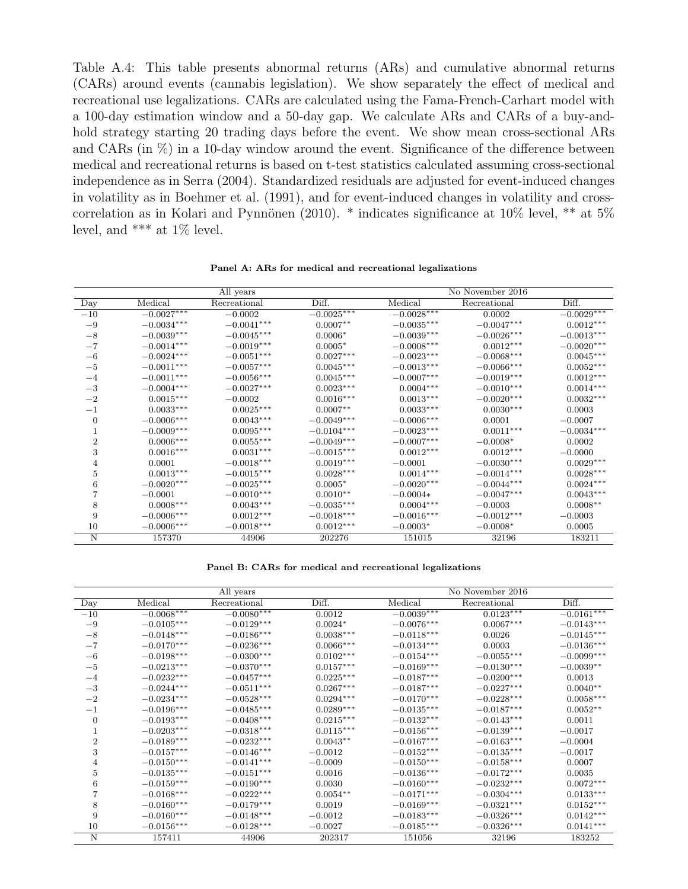<span id="page-27-0"></span>Table A.4: This table presents abnormal returns (ARs) and cumulative abnormal returns (CARs) around events (cannabis legislation). We show separately the effect of medical and recreational use legalizations. CARs are calculated using the Fama-French-Carhart model with a 100-day estimation window and a 50-day gap. We calculate ARs and CARs of a buy-andhold strategy starting 20 trading days before the event. We show mean cross-sectional ARs and CARs (in  $\%$ ) in a 10-day window around the event. Significance of the difference between medical and recreational returns is based on t-test statistics calculated assuming cross-sectional independence as in [Serra](#page-17-10) [\(2004\)](#page-17-10). Standardized residuals are adjusted for event-induced changes in volatility as in [Boehmer et al.](#page-15-5) [\(1991\)](#page-15-5), and for event-induced changes in volatility and cross-correlation as in Kolari and Pynnönen [\(2010\)](#page-16-8). \* indicates significance at  $10\%$  level, \*\* at  $5\%$ level, and  $***$  at  $1\%$  level.

|                |              | All years    |              |                | No November 2016 |              |
|----------------|--------------|--------------|--------------|----------------|------------------|--------------|
| Day            | Medical      | Recreational | Diff.        | <b>Medical</b> | Recreational     | Diff.        |
| $-10$          | $-0.0027***$ | $-0.0002$    | $-0.0025***$ | $-0.0028***$   | 0.0002           | $-0.0029***$ |
| $-9$           | $-0.0034***$ | $-0.0041***$ | $0.0007**$   | $-0.0035***$   | $-0.0047***$     | $0.0012***$  |
| $-8$           | $-0.0039***$ | $-0.0045***$ | $0.0006*$    | $-0.0039***$   | $-0.0026***$     | $-0.0013***$ |
| $-7$           | $-0.0014***$ | $-0.0019***$ | $0.0005*$    | $-0.0008***$   | $0.0012***$      | $-0.0020***$ |
| $-6$           | $-0.0024***$ | $-0.0051***$ | $0.0027***$  | $-0.0023***$   | $-0.0068***$     | $0.0045***$  |
| $-5$           | $-0.0011***$ | $-0.0057***$ | $0.0045***$  | $-0.0013***$   | $-0.0066***$     | $0.0052***$  |
| $-4$           | $-0.0011***$ | $-0.0056***$ | $0.0045***$  | $-0.0007***$   | $-0.0019***$     | $0.0012***$  |
| $-3$           | $-0.0004***$ | $-0.0027***$ | $0.0023***$  | $0.0004***$    | $-0.0010***$     | $0.0014***$  |
| $-2$           | $0.0015***$  | $-0.0002$    | $0.0016***$  | $0.0013***$    | $-0.0020***$     | $0.0032***$  |
| $-1$           | $0.0033***$  | $0.0025***$  | $0.0007**$   | $0.0033***$    | $0.0030***$      | 0.0003       |
| $\Omega$       | $-0.0006***$ | $0.0043***$  | $-0.0049***$ | $-0.0006***$   | 0.0001           | $-0.0007$    |
|                | $-0.0009***$ | $0.0095***$  | $-0.0104***$ | $-0.0023***$   | $0.0011***$      | $-0.0034***$ |
| $\overline{2}$ | $0.0006***$  | $0.0055***$  | $-0.0049***$ | $-0.0007***$   | $-0.0008*$       | 0.0002       |
| 3              | $0.0016***$  | $0.0031***$  | $-0.0015***$ | $0.0012***$    | $0.0012***$      | $-0.0000$    |
| 4              | 0.0001       | $-0.0018***$ | $0.0019***$  | $-0.0001$      | $-0.0030***$     | $0.0029***$  |
| 5              | $0.0013***$  | $-0.0015***$ | $0.0028***$  | $0.0014***$    | $-0.0014***$     | $0.0028***$  |
| 6              | $-0.0020***$ | $-0.0025***$ | $0.0005*$    | $-0.0020***$   | $-0.0044***$     | $0.0024***$  |
|                | $-0.0001$    | $-0.0010***$ | $0.0010**$   | $-0.0004*$     | $-0.0047***$     | $0.0043***$  |
| 8              | $0.0008***$  | $0.0043***$  | $-0.0035***$ | $0.0004***$    | $-0.0003$        | $0.0008**$   |
| 9              | $-0.0006***$ | $0.0012***$  | $-0.0018***$ | $-0.0016***$   | $-0.0012***$     | $-0.0003$    |
| 10             | $-0.0006***$ | $-0.0018***$ | $0.0012***$  | $-0.0003*$     | $-0.0008*$       | 0.0005       |
| N              | 157370       | 44906        | 202276       | 151015         | 32196            | 183211       |

Panel A: ARs for medical and recreational legalizations

Panel B: CARs for medical and recreational legalizations

|                |              | All years    |             |              | No November 2016 |              |
|----------------|--------------|--------------|-------------|--------------|------------------|--------------|
| Day            | Medical      | Recreational | Diff.       | Medical      | Recreational     | Diff.        |
| $-10$          | $-0.0068***$ | $-0.0080***$ | 0.0012      | $-0.0039***$ | $0.0123***$      | $-0.0161***$ |
| $-9$           | $-0.0105***$ | $-0.0129***$ | $0.0024*$   | $-0.0076***$ | $0.0067***$      | $-0.0143***$ |
| $-8$           | $-0.0148***$ | $-0.0186***$ | $0.0038***$ | $-0.0118***$ | 0.0026           | $-0.0145***$ |
| $-7$           | $-0.0170***$ | $-0.0236***$ | $0.0066***$ | $-0.0134***$ | 0.0003           | $-0.0136***$ |
| $-6$           | $-0.0198***$ | $-0.0300***$ | $0.0102***$ | $-0.0154***$ | $-0.0055***$     | $-0.0099***$ |
| $-5$           | $-0.0213***$ | $-0.0370***$ | $0.0157***$ | $-0.0169***$ | $-0.0130***$     | $-0.0039**$  |
| $-4$           | $-0.0232***$ | $-0.0457***$ | $0.0225***$ | $-0.0187***$ | $-0.0200***$     | 0.0013       |
| $-3$           | $-0.0244***$ | $-0.0511***$ | $0.0267***$ | $-0.0187***$ | $-0.0227***$     | $0.0040**$   |
| $-2$           | $-0.0234***$ | $-0.0528***$ | $0.0294***$ | $-0.0170***$ | $-0.0228***$     | $0.0058***$  |
| $-1$           | $-0.0196***$ | $-0.0485***$ | $0.0289***$ | $-0.0135***$ | $-0.0187***$     | $0.0052**$   |
| $\overline{0}$ | $-0.0193***$ | $-0.0408***$ | $0.0215***$ | $-0.0132***$ | $-0.0143***$     | 0.0011       |
| 1              | $-0.0203***$ | $-0.0318***$ | $0.0115***$ | $-0.0156***$ | $-0.0139***$     | $-0.0017$    |
| $\overline{2}$ | $-0.0189***$ | $-0.0232***$ | $0.0043**$  | $-0.0167***$ | $-0.0163***$     | $-0.0004$    |
| 3              | $-0.0157***$ | $-0.0146***$ | $-0.0012$   | $-0.0152***$ | $-0.0135***$     | $-0.0017$    |
| 4              | $-0.0150***$ | $-0.0141***$ | $-0.0009$   | $-0.0150***$ | $-0.0158***$     | 0.0007       |
| 5              | $-0.0135***$ | $-0.0151***$ | 0.0016      | $-0.0136***$ | $-0.0172***$     | 0.0035       |
| 6              | $-0.0159***$ | $-0.0190***$ | 0.0030      | $-0.0160***$ | $-0.0232***$     | $0.0072***$  |
|                | $-0.0168***$ | $-0.0222***$ | $0.0054***$ | $-0.0171***$ | $-0.0304***$     | $0.0133***$  |
| 8              | $-0.0160***$ | $-0.0179***$ | 0.0019      | $-0.0169***$ | $-0.0321***$     | $0.0152***$  |
| 9              | $-0.0160***$ | $-0.0148***$ | $-0.0012$   | $-0.0183***$ | $-0.0326***$     | $0.0142***$  |
| 10             | $-0.0156***$ | $-0.0128***$ | $-0.0027$   | $-0.0185***$ | $-0.0326***$     | $0.0141***$  |
| N              | 157411       | 44906        | 202317      | 151056       | 32196            | 183252       |